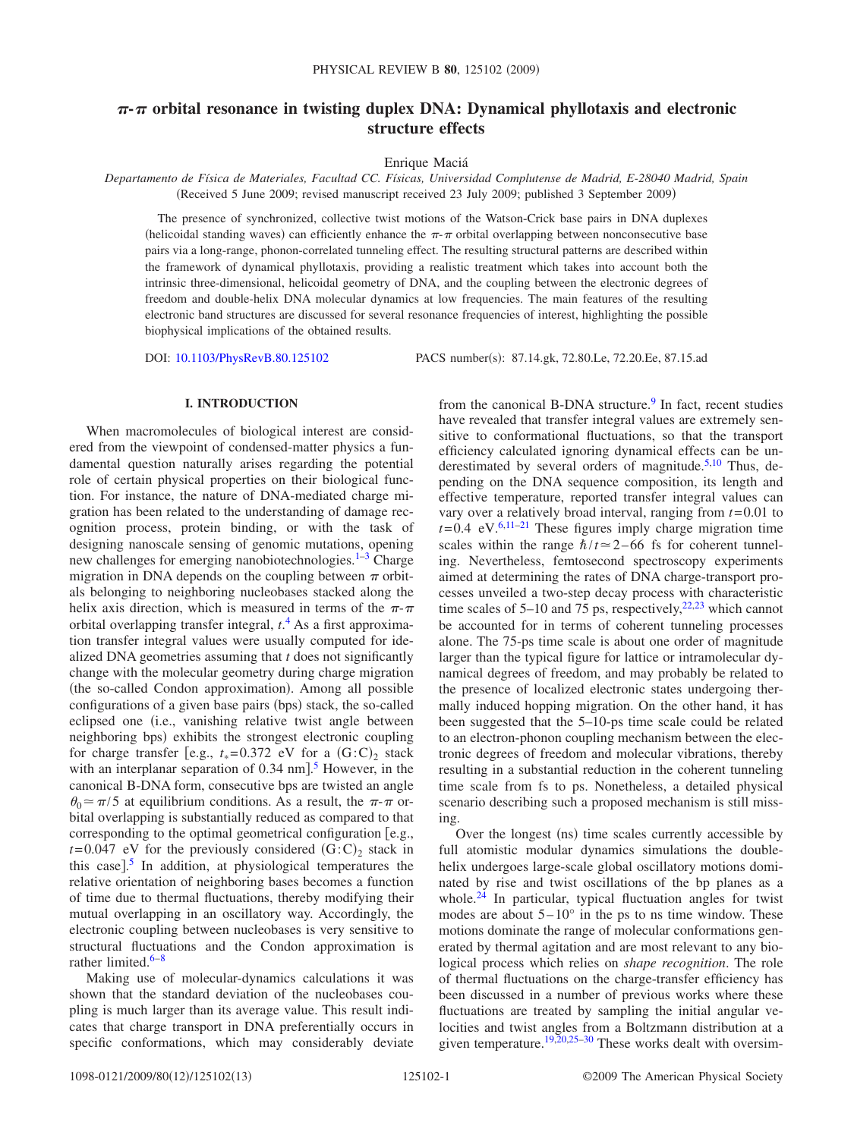# **- orbital resonance in twisting duplex DNA: Dynamical phyllotaxis and electronic structure effects**

Enrique Maciá

*Departamento de Física de Materiales, Facultad CC. Físicas, Universidad Complutense de Madrid, E-28040 Madrid, Spain* Received 5 June 2009; revised manuscript received 23 July 2009; published 3 September 2009-

The presence of synchronized, collective twist motions of the Watson-Crick base pairs in DNA duplexes (helicoidal standing waves) can efficiently enhance the  $\pi$ - $\pi$  orbital overlapping between nonconsecutive base pairs via a long-range, phonon-correlated tunneling effect. The resulting structural patterns are described within the framework of dynamical phyllotaxis, providing a realistic treatment which takes into account both the intrinsic three-dimensional, helicoidal geometry of DNA, and the coupling between the electronic degrees of freedom and double-helix DNA molecular dynamics at low frequencies. The main features of the resulting electronic band structures are discussed for several resonance frequencies of interest, highlighting the possible biophysical implications of the obtained results.

DOI: [10.1103/PhysRevB.80.125102](http://dx.doi.org/10.1103/PhysRevB.80.125102)

PACS number(s): 87.14.gk, 72.80.Le, 72.20.Ee, 87.15.ad

## **I. INTRODUCTION**

When macromolecules of biological interest are considered from the viewpoint of condensed-matter physics a fundamental question naturally arises regarding the potential role of certain physical properties on their biological function. For instance, the nature of DNA-mediated charge migration has been related to the understanding of damage recognition process, protein binding, or with the task of designing nanoscale sensing of genomic mutations, opening new challenges for emerging nanobiotechnologies.<sup>1–[3](#page-11-1)</sup> Charge migration in DNA depends on the coupling between  $\pi$  orbitals belonging to neighboring nucleobases stacked along the helix axis direction, which is measured in terms of the  $\pi$ - $\pi$ orbital overlapping transfer integral, *t*. [4](#page-11-2) As a first approximation transfer integral values were usually computed for idealized DNA geometries assuming that *t* does not significantly change with the molecular geometry during charge migration (the so-called Condon approximation). Among all possible configurations of a given base pairs (bps) stack, the so-called eclipsed one (i.e., vanishing relative twist angle between neighboring bps) exhibits the strongest electronic coupling for charge transfer [e.g.,  $t_* = 0.372$  eV for a  $(G:C)_2$  stack with an interplanar separation of  $0.34 \text{ nm}$ .<sup>[5](#page-11-3)</sup> However, in the canonical B-DNA form, consecutive bps are twisted an angle  $\theta_0 \approx \pi/5$  at equilibrium conditions. As a result, the  $\pi$ - $\pi$  orbital overlapping is substantially reduced as compared to that corresponding to the optimal geometrical configuration [e.g.,  $t=0.047$  eV for the previously considered  $(G:C)_2$  stack in this case]. $5$  In addition, at physiological temperatures the relative orientation of neighboring bases becomes a function of time due to thermal fluctuations, thereby modifying their mutual overlapping in an oscillatory way. Accordingly, the electronic coupling between nucleobases is very sensitive to structural fluctuations and the Condon approximation is rather limited[.6](#page-11-4)[–8](#page-11-5)

Making use of molecular-dynamics calculations it was shown that the standard deviation of the nucleobases coupling is much larger than its average value. This result indicates that charge transport in DNA preferentially occurs in specific conformations, which may considerably deviate from the canonical B-DNA structure.<sup>9</sup> In fact, recent studies have revealed that transfer integral values are extremely sensitive to conformational fluctuations, so that the transport efficiency calculated ignoring dynamical effects can be un-derestimated by several orders of magnitude.<sup>5[,10](#page-11-7)</sup> Thus, depending on the DNA sequence composition, its length and effective temperature, reported transfer integral values can vary over a relatively broad interval, ranging from *t*=0.01 to  $t=0.4$  eV.<sup>6,[11–](#page-11-8)[21](#page-11-9)</sup> These figures imply charge migration time scales within the range  $\hbar/t \approx 2-66$  fs for coherent tunneling. Nevertheless, femtosecond spectroscopy experiments aimed at determining the rates of DNA charge-transport processes unveiled a two-step decay process with characteristic time scales of 5–10 and 75 ps, respectively,  $22,23$  $22,23$  which cannot be accounted for in terms of coherent tunneling processes alone. The 75-ps time scale is about one order of magnitude larger than the typical figure for lattice or intramolecular dynamical degrees of freedom, and may probably be related to the presence of localized electronic states undergoing thermally induced hopping migration. On the other hand, it has been suggested that the 5–10-ps time scale could be related to an electron-phonon coupling mechanism between the electronic degrees of freedom and molecular vibrations, thereby resulting in a substantial reduction in the coherent tunneling time scale from fs to ps. Nonetheless, a detailed physical scenario describing such a proposed mechanism is still missing.

Over the longest (ns) time scales currently accessible by full atomistic modular dynamics simulations the doublehelix undergoes large-scale global oscillatory motions dominated by rise and twist oscillations of the bp planes as a whole. $^{24}$  In particular, typical fluctuation angles for twist modes are about  $5-10^{\circ}$  in the ps to ns time window. These motions dominate the range of molecular conformations generated by thermal agitation and are most relevant to any biological process which relies on *shape recognition*. The role of thermal fluctuations on the charge-transfer efficiency has been discussed in a number of previous works where these fluctuations are treated by sampling the initial angular velocities and twist angles from a Boltzmann distribution at a given temperature.<sup>19[,20,](#page-11-14)[25–](#page-11-15)[30](#page-11-16)</sup> These works dealt with oversim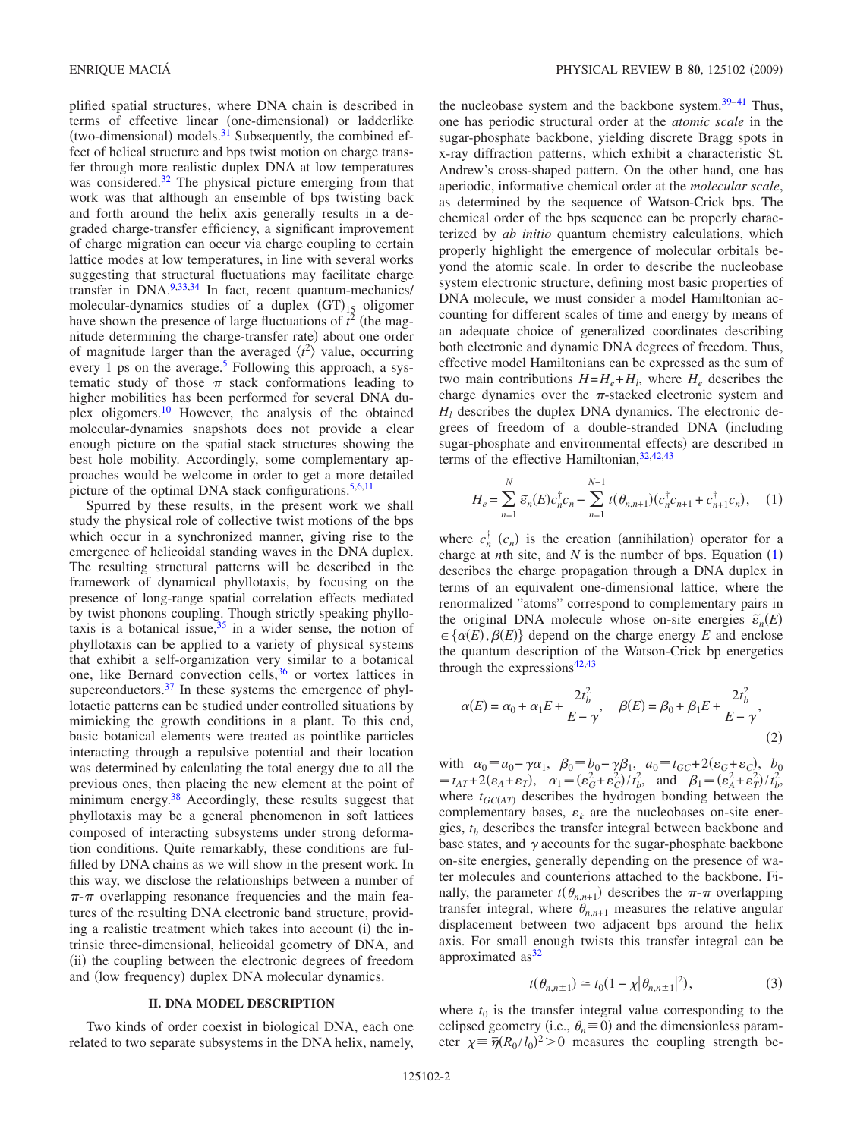plified spatial structures, where DNA chain is described in terms of effective linear (one-dimensional) or ladderlike (two-dimensional) models. $31$  Subsequently, the combined effect of helical structure and bps twist motion on charge transfer through more realistic duplex DNA at low temperatures was considered.<sup>32</sup> The physical picture emerging from that work was that although an ensemble of bps twisting back and forth around the helix axis generally results in a degraded charge-transfer efficiency, a significant improvement of charge migration can occur via charge coupling to certain lattice modes at low temperatures, in line with several works suggesting that structural fluctuations may facilitate charge transfer in DNA[.9,](#page-11-6)[33](#page-11-19)[,34](#page-11-20) In fact, recent quantum-mechanics/ molecular-dynamics studies of a duplex  $(GT)_{15}$  oligomer have shown the presence of large fluctuations of  $t^2$  (the magnitude determining the charge-transfer rate) about one order of magnitude larger than the averaged  $\langle t^2 \rangle$  value, occurring every 1 ps on the average.<sup>5</sup> Following this approach, a systematic study of those  $\pi$  stack conformations leading to higher mobilities has been performed for several DNA duplex oligomers[.10](#page-11-7) However, the analysis of the obtained molecular-dynamics snapshots does not provide a clear enough picture on the spatial stack structures showing the best hole mobility. Accordingly, some complementary approaches would be welcome in order to get a more detailed picture of the optimal DNA stack configurations. $5,6,11$  $5,6,11$  $5,6,11$ 

Spurred by these results, in the present work we shall study the physical role of collective twist motions of the bps which occur in a synchronized manner, giving rise to the emergence of helicoidal standing waves in the DNA duplex. The resulting structural patterns will be described in the framework of dynamical phyllotaxis, by focusing on the presence of long-range spatial correlation effects mediated by twist phonons coupling. Though strictly speaking phyllotaxis is a botanical issue,  $35$  in a wider sense, the notion of phyllotaxis can be applied to a variety of physical systems that exhibit a self-organization very similar to a botanical one, like Bernard convection cells,  $36$  or vortex lattices in superconductors. $37$  In these systems the emergence of phyllotactic patterns can be studied under controlled situations by mimicking the growth conditions in a plant. To this end, basic botanical elements were treated as pointlike particles interacting through a repulsive potential and their location was determined by calculating the total energy due to all the previous ones, then placing the new element at the point of minimum energy.<sup>38</sup> Accordingly, these results suggest that phyllotaxis may be a general phenomenon in soft lattices composed of interacting subsystems under strong deformation conditions. Quite remarkably, these conditions are fulfilled by DNA chains as we will show in the present work. In this way, we disclose the relationships between a number of  $\pi$ - $\pi$  overlapping resonance frequencies and the main features of the resulting DNA electronic band structure, providing a realistic treatment which takes into account (i) the intrinsic three-dimensional, helicoidal geometry of DNA, and (ii) the coupling between the electronic degrees of freedom and (low frequency) duplex DNA molecular dynamics.

#### **II. DNA MODEL DESCRIPTION**

<span id="page-1-3"></span>Two kinds of order coexist in biological DNA, each one related to two separate subsystems in the DNA helix, namely,

the nucleobase system and the backbone system.<sup>39-[41](#page-11-26)</sup> Thus, one has periodic structural order at the *atomic scale* in the sugar-phosphate backbone, yielding discrete Bragg spots in x-ray diffraction patterns, which exhibit a characteristic St. Andrew's cross-shaped pattern. On the other hand, one has aperiodic, informative chemical order at the *molecular scale*, as determined by the sequence of Watson-Crick bps. The chemical order of the bps sequence can be properly characterized by *ab initio* quantum chemistry calculations, which properly highlight the emergence of molecular orbitals beyond the atomic scale. In order to describe the nucleobase system electronic structure, defining most basic properties of DNA molecule, we must consider a model Hamiltonian accounting for different scales of time and energy by means of an adequate choice of generalized coordinates describing both electronic and dynamic DNA degrees of freedom. Thus, effective model Hamiltonians can be expressed as the sum of two main contributions  $H = H_e + H_l$ , where  $H_e$  describes the charge dynamics over the  $\pi$ -stacked electronic system and  $H_1$  describes the duplex DNA dynamics. The electronic degrees of freedom of a double-stranded DNA including sugar-phosphate and environmental effects) are described in terms of the effective Hamiltonian, 32,[42](#page-11-27)[,43](#page-11-28)

<span id="page-1-0"></span>
$$
H_e = \sum_{n=1}^{N} \tilde{\varepsilon}_n(E) c_n^{\dagger} c_n - \sum_{n=1}^{N-1} t(\theta_{n,n+1}) (c_n^{\dagger} c_{n+1} + c_{n+1}^{\dagger} c_n), \quad (1)
$$

where  $c_n^{\dagger}$  ( $c_n$ ) is the creation (annihilation) operator for a charge at *n*th site, and  $N$  is the number of bps. Equation  $(1)$  $(1)$  $(1)$ describes the charge propagation through a DNA duplex in terms of an equivalent one-dimensional lattice, where the renormalized "atoms" correspond to complementary pairs in the original DNA molecule whose on-site energies  $\tilde{\epsilon}_n(E)$  $\in \{\alpha(E), \beta(E)\}\$  depend on the charge energy *E* and enclose the quantum description of the Watson-Crick bp energetics through the expressions $42,43$  $42,43$ 

<span id="page-1-2"></span>
$$
\alpha(E) = \alpha_0 + \alpha_1 E + \frac{2t_b^2}{E - \gamma}, \quad \beta(E) = \beta_0 + \beta_1 E + \frac{2t_b^2}{E - \gamma},
$$
\n(2)

with  $\alpha_0$ ≡ *a*<sub>0</sub>−γ $\alpha_1$ ,  $\beta_0$ ≡ *b*<sub>0</sub>−γ $\beta_1$ ,  $a_0$ ≡ *t*<sub>*GC</sub>*+2(ε<sub>*G*</sub>+ε<sub>*C*</sub>), *b*<sub>0</sub></sub>  $\equiv t_{AT} + 2(\epsilon_A + \epsilon_T)$ ,  $\alpha_1 \equiv (\epsilon_G^2 + \epsilon_C^2)/t_b^2$ , and  $\beta_1 \equiv (\epsilon_A^2 + \epsilon_T^2)/t_b^2$ , where  $t_{GC(AT)}$  describes the hydrogen bonding between the complementary bases,  $\varepsilon_k$  are the nucleobases on-site energies,  $t_b$  describes the transfer integral between backbone and base states, and  $\gamma$  accounts for the sugar-phosphate backbone on-site energies, generally depending on the presence of water molecules and counterions attached to the backbone. Finally, the parameter  $t(\theta_{n,n+1})$  describes the  $\pi$ - $\pi$  overlapping transfer integral, where  $\theta_{n,n+1}$  measures the relative angular displacement between two adjacent bps around the helix axis. For small enough twists this transfer integral can be approximated  $as<sup>32</sup>$ 

$$
t(\theta_{n,n\pm 1}) \simeq t_0(1 - \chi |\theta_{n,n\pm 1}|^2), \tag{3}
$$

<span id="page-1-1"></span>where  $t_0$  is the transfer integral value corresponding to the eclipsed geometry (i.e.,  $\theta_n \equiv 0$ ) and the dimensionless parameter  $\chi = \overline{\eta}(R_0/l_0)^2 > 0$  measures the coupling strength be-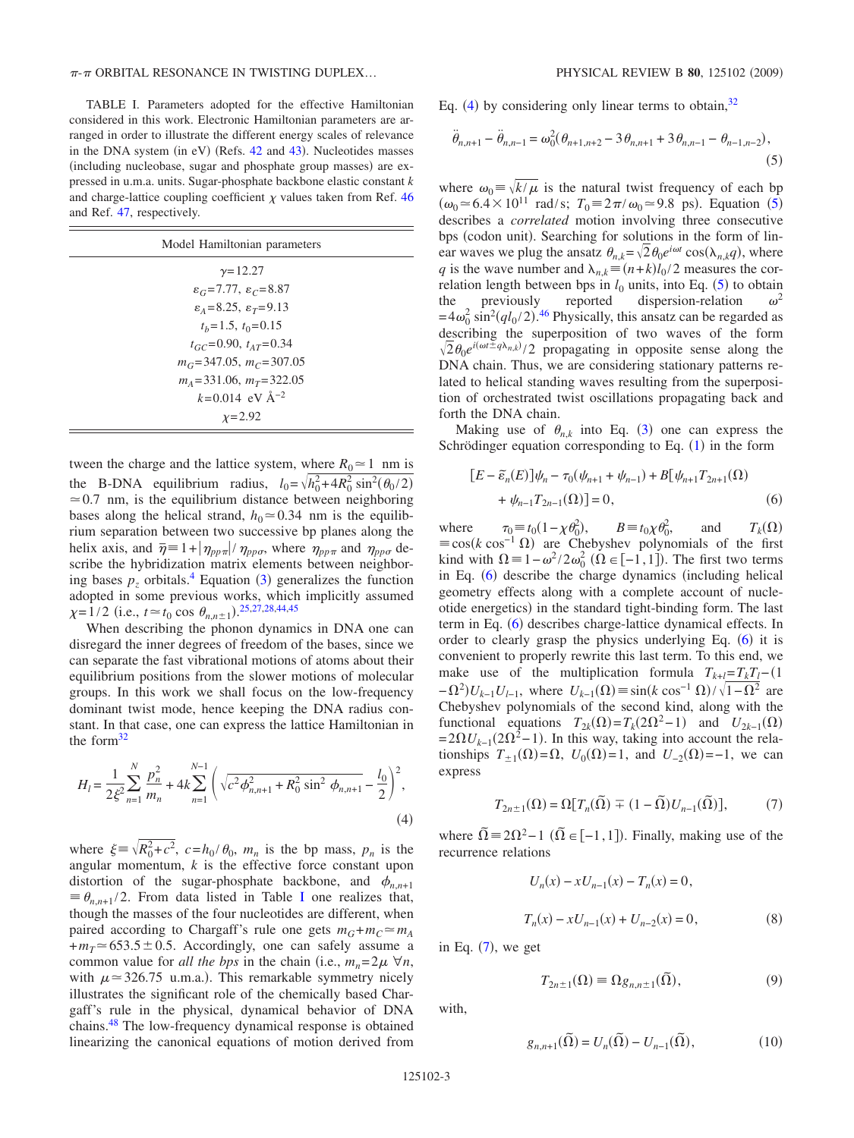<span id="page-2-0"></span>TABLE I. Parameters adopted for the effective Hamiltonian considered in this work. Electronic Hamiltonian parameters are arranged in order to illustrate the different energy scales of relevance in the DNA system (in eV) (Refs.  $42$  and  $43$ ). Nucleotides masses (including nucleobase, sugar and phosphate group masses) are expressed in u.m.a. units. Sugar-phosphate backbone elastic constant *k* and charge-lattice coupling coefficient  $\chi$  values taken from Ref. [46](#page-12-3) and Ref. [47,](#page-12-4) respectively.

| Model Hamiltonian parameters                    |  |  |  |  |  |  |
|-------------------------------------------------|--|--|--|--|--|--|
| $\gamma = 12.27$                                |  |  |  |  |  |  |
| $\varepsilon_G$ =7.77, $\varepsilon_C$ =8.87    |  |  |  |  |  |  |
| $\varepsilon_A = 8.25$ , $\varepsilon_T = 9.13$ |  |  |  |  |  |  |
| $t_b = 1.5$ , $t_0 = 0.15$                      |  |  |  |  |  |  |
| $t_{GC}$ =0.90, $t_{AT}$ =0.34                  |  |  |  |  |  |  |
| $m_G$ =347.05, $m_C$ =307.05                    |  |  |  |  |  |  |
| $m_A = 331.06$ , $m_T = 322.05$                 |  |  |  |  |  |  |
| $k=0.014$ eV $\AA^{-2}$                         |  |  |  |  |  |  |
| $x = 2.92$                                      |  |  |  |  |  |  |

tween the charge and the lattice system, where  $R_0 \approx 1$  nm is the B-DNA equilibrium radius,  $l_0 = \sqrt{h_0^2 + 4R_0^2} \sin^2(\theta_0/2)$  $\approx$  0.7 nm, is the equilibrium distance between neighboring bases along the helical strand,  $h_0 \approx 0.34$  nm is the equilibrium separation between two successive bp planes along the helix axis, and  $\bar{\eta} = 1 + |\eta_{pp\pi}| / \eta_{pp\sigma}$ , where  $\eta_{pp\pi}$  and  $\eta_{pp\sigma}$  describe the hybridization matrix elements between neighboring bases  $p_z$  orbitals.<sup>4</sup> Equation ([3](#page-1-1)) generalizes the function adopted in some previous works, which implicitly assumed  $\chi = 1/2$  (i.e.,  $t \approx t_0 \cos \theta_{n,n \pm 1}$ ).<sup>[25,](#page-11-15)[27](#page-11-29)[,28](#page-11-30)[,44](#page-12-0)[,45](#page-12-1)</sup>

When describing the phonon dynamics in DNA one can disregard the inner degrees of freedom of the bases, since we can separate the fast vibrational motions of atoms about their equilibrium positions from the slower motions of molecular groups. In this work we shall focus on the low-frequency dominant twist mode, hence keeping the DNA radius constant. In that case, one can express the lattice Hamiltonian in the form $32$ 

<span id="page-2-1"></span>
$$
H_{l} = \frac{1}{2\xi^{2}}\sum_{n=1}^{N} \frac{p_{n}^{2}}{m_{n}} + 4k\sum_{n=1}^{N-1} \left(\sqrt{c^{2}\phi_{n,n+1}^{2} + R_{0}^{2}\sin^{2}\phi_{n,n+1}} - \frac{l_{0}}{2}\right)^{2},
$$
\n(4)

where  $\xi = \sqrt{R_0^2 + c^2}$ ,  $c = h_0 / \theta_0$ ,  $m_n$  is the bp mass,  $p_n$  is the angular momentum, *k* is the effective force constant upon distortion of the sugar-phosphate backbone, and  $\phi_{n,n+1}$  $\equiv \theta_{n,n+1}/2$ . From data listed in Table [I](#page-2-0) one realizes that, though the masses of the four nucleotides are different, when paired according to Chargaff's rule one gets  $m_G + m_C \approx m_A$  $+m_T \approx 653.5 \pm 0.5$ . Accordingly, one can safely assume a common value for *all the bps* in the chain (i.e.,  $m_n = 2\mu \ \forall n$ , with  $\mu \approx 326.75$  u.m.a.). This remarkable symmetry nicely illustrates the significant role of the chemically based Chargaff's rule in the physical, dynamical behavior of DNA chains[.48](#page-12-2) The low-frequency dynamical response is obtained linearizing the canonical equations of motion derived from Eq. ([4](#page-2-1)) by considering only linear terms to obtain, $32$ 

<span id="page-2-2"></span>
$$
\ddot{\theta}_{n,n+1} - \ddot{\theta}_{n,n-1} = \omega_0^2 (\theta_{n+1,n+2} - 3\theta_{n,n+1} + 3\theta_{n,n-1} - \theta_{n-1,n-2}),
$$
\n(5)

where  $\omega_0 = \sqrt{k/\mu}$  is the natural twist frequency of each bp  $(\omega_0 \approx 6.4 \times 10^{11} \text{ rad/s}; T_0 \equiv 2\pi/\omega_0 \approx 9.8 \text{ ps}).$  Equation ([5](#page-2-2)) describes a *correlated* motion involving three consecutive bps (codon unit). Searching for solutions in the form of linear waves we plug the ansatz  $\theta_{n,k} = \sqrt{2} \theta_0 e^{i\omega t} \cos(\lambda_{n,k} q)$ , where *q* is the wave number and  $\lambda_{n,k} \equiv (n+k)l_0/2$  measures the correlation length between bps in  $l_0$  units, into Eq. ([5](#page-2-2)) to obtain the previously reported dispersion-relation  $\omega^2$  $=4\omega_0^2 \sin^2(ql_0/2)$ .<sup>[46](#page-12-3)</sup> Physically, this ansatz can be regarded as describing the superposition of two waves of the form  $\sqrt{2} \theta_0 e^{i(\omega t \pm q\lambda_{n,k})}/2$  propagating in opposite sense along the DNA chain. Thus, we are considering stationary patterns related to helical standing waves resulting from the superposition of orchestrated twist oscillations propagating back and forth the DNA chain.

Making use of  $\theta_{n,k}$  into Eq. ([3](#page-1-1)) one can express the Schrödinger equation corresponding to Eq.  $(1)$  $(1)$  $(1)$  in the form

<span id="page-2-3"></span>
$$
[E - \tilde{\varepsilon}_n(E)]\psi_n - \tau_0(\psi_{n+1} + \psi_{n-1}) + B[\psi_{n+1}T_{2n+1}(\Omega) + \psi_{n-1}T_{2n-1}(\Omega)] = 0,
$$
 (6)

where  $\tau_0 \equiv t_0(1 - \chi \theta_0^2)$ ,  $B \equiv t_0 \chi \theta_0^2$ , and  $T_k(\Omega)$ <br>= cos(*k* cos<sup>-1</sup>  $\Omega$ ) are Chebyshev polynomials of the first kind with  $\Omega = 1 - \omega^2 / 2 \omega_0^2$  ( $\Omega$  ∈ [-1,1]). The first two terms in Eq.  $(6)$  $(6)$  $(6)$  describe the charge dynamics (including helical geometry effects along with a complete account of nucleotide energetics) in the standard tight-binding form. The last term in Eq. ([6](#page-2-3)) describes charge-lattice dynamical effects. In order to clearly grasp the physics underlying Eq. ([6](#page-2-3)) it is convenient to properly rewrite this last term. To this end, we make use of the multiplication formula  $T_{k+l} = T_k T_l$ −(1  $-(\Omega^2)U_{k-1}U_{l-1}$ , where  $U_{k-1}(\Omega) \equiv \sin(k \cos^{-1} \Omega)/\sqrt{1-\Omega^2}$  are Chebyshev polynomials of the second kind, along with the functional equations  $T_{2k}(\Omega) = T_k(2\Omega^2 - 1)$  and  $U_{2k-1}(\Omega)$  $=2\Omega U_{k-1}(2\Omega^2-1)$ . In this way, taking into account the relationships  $T_{\pm 1}(\Omega) = \Omega$ ,  $U_0(\Omega) = 1$ , and  $U_{-2}(\Omega) = -1$ , we can express

$$
T_{2n\pm 1}(\Omega) = \Omega[T_n(\tilde{\Omega}) \mp (1 - \tilde{\Omega})U_{n-1}(\tilde{\Omega})],\tag{7}
$$

<span id="page-2-6"></span><span id="page-2-4"></span>where  $\tilde{\Omega} \equiv 2\Omega^2 - 1$  ( $\tilde{\Omega} \in [-1, 1]$ ). Finally, making use of the recurrence relations

$$
U_n(x) - xU_{n-1}(x) - T_n(x) = 0,
$$
  
\n
$$
T_n(x) - xU_{n-1}(x) + U_{n-2}(x) = 0,
$$
\n(8)

<span id="page-2-7"></span>in Eq.  $(7)$  $(7)$  $(7)$ , we get

$$
T_{2n\pm 1}(\Omega) \equiv \Omega g_{n,n\pm 1}(\tilde{\Omega}),\tag{9}
$$

<span id="page-2-5"></span>with,

$$
g_{n,n+1}(\tilde{\Omega}) = U_n(\tilde{\Omega}) - U_{n-1}(\tilde{\Omega}), \qquad (10)
$$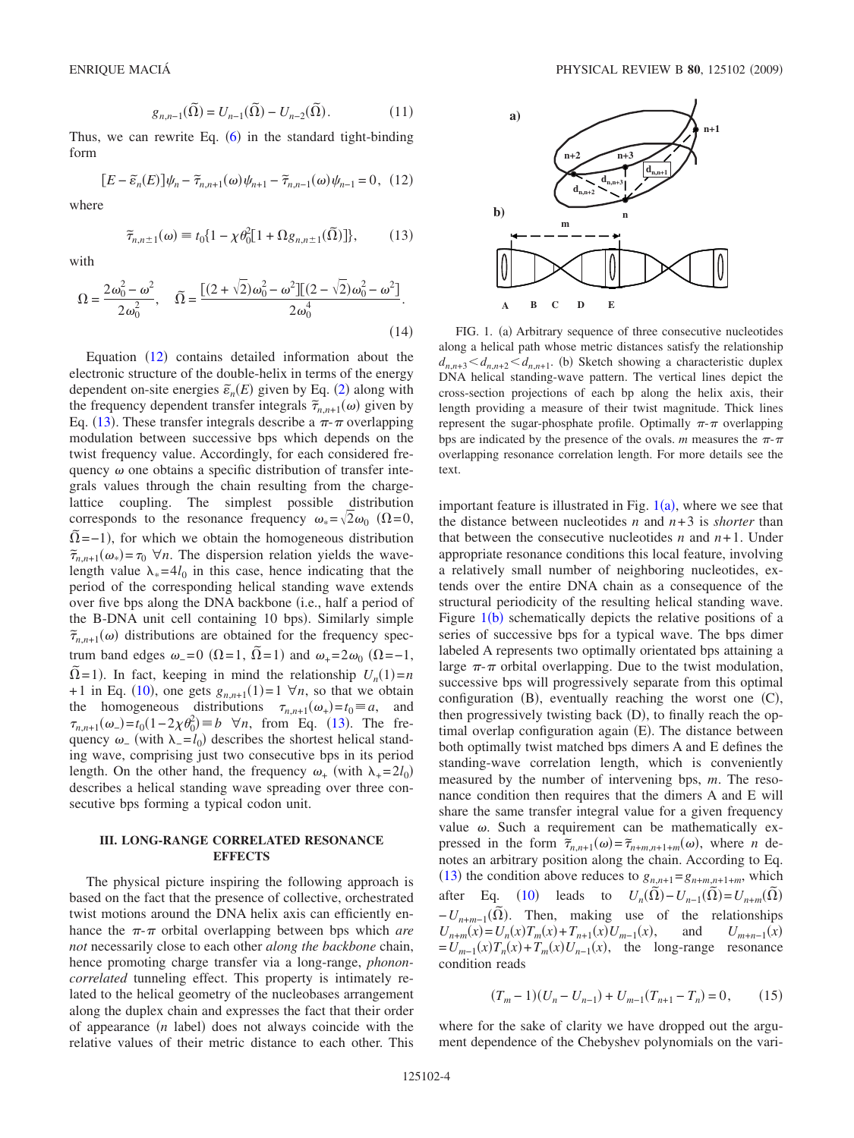Thus, we can rewrite Eq.  $(6)$  $(6)$  $(6)$  in the standard tight-binding form

$$
[E - \widetilde{\varepsilon}_n(E)]\psi_n - \widetilde{\tau}_{n,n+1}(\omega)\psi_{n+1} - \widetilde{\tau}_{n,n-1}(\omega)\psi_{n-1} = 0, (12)
$$

<span id="page-3-1"></span><span id="page-3-0"></span>where

$$
\widetilde{\tau}_{n,n\pm 1}(\omega) \equiv t_0 \{ 1 - \chi \theta_0^2 [1 + \Omega g_{n,n\pm 1}(\widetilde{\Omega})] \},\tag{13}
$$

with

$$
\Omega = \frac{2\omega_0^2 - \omega^2}{2\omega_0^2}, \quad \tilde{\Omega} = \frac{[(2 + \sqrt{2})\omega_0^2 - \omega^2][(2 - \sqrt{2})\omega_0^2 - \omega^2]}{2\omega_0^4}.
$$
\n(14)

Equation  $(12)$  $(12)$  $(12)$  contains detailed information about the electronic structure of the double-helix in terms of the energy dependent on-site energies  $\tilde{\varepsilon}_n(E)$  given by Eq. ([2](#page-1-2)) along with the frequency dependent transfer integrals  $\tilde{\tau}_{n,n+1}(\omega)$  given by Eq. ([13](#page-3-1)). These transfer integrals describe a  $\pi$ - $\pi$  overlapping modulation between successive bps which depends on the twist frequency value. Accordingly, for each considered frequency  $\omega$  one obtains a specific distribution of transfer integrals values through the chain resulting from the chargelattice coupling. The simplest possible distribution corresponds to the resonance frequency  $\omega_* = \sqrt{2\omega_0}$  ( $\Omega = 0$ ,  $\overline{\Omega}$  =−1), for which we obtain the homogeneous distribution  $\tilde{\tau}_{n,n+1}(\omega_*) = \tau_0 \quad \forall n$ . The dispersion relation yields the wavelength value  $\lambda_* = 4l_0$  in this case, hence indicating that the period of the corresponding helical standing wave extends over five bps along the DNA backbone (i.e., half a period of the B-DNA unit cell containing 10 bps). Similarly simple  $\widetilde{\tau}_{n,n+1}(\omega)$  distributions are obtained for the frequency spectrum band edges  $\omega = 0$  ( $\Omega = 1$ ,  $\tilde{\Omega} = 1$ ) and  $\omega_+ = 2\omega_0$  ( $\Omega = -1$ ,  $\overline{\Omega}$ =1). In fact, keeping in mind the relationship  $U_n(1) = n$ +1 in Eq. ([10](#page-2-5)), one gets  $g_{n,n+1}(1)=1 \forall n$ , so that we obtain the homogeneous distributions  $\tau_{n,n+1}(\omega_+) = t_0 \equiv a$ , and  $\tau_{n,n+1}(\omega_-) = t_0(1-2\chi\theta_0^2) = b \quad \forall n$ , from Eq. ([13](#page-3-1)). The frequency  $\omega$ <sub>-</sub> (with  $\lambda$ <sub>-</sub>= $l_0$ ) describes the shortest helical standing wave, comprising just two consecutive bps in its period length. On the other hand, the frequency  $\omega_+$  (with  $\lambda_+ = 2l_0$ ) describes a helical standing wave spreading over three consecutive bps forming a typical codon unit.

## <span id="page-3-4"></span>**III. LONG-RANGE CORRELATED RESONANCE EFFECTS**

The physical picture inspiring the following approach is based on the fact that the presence of collective, orchestrated twist motions around the DNA helix axis can efficiently enhance the  $\pi$ - $\pi$  orbital overlapping between bps which *are not* necessarily close to each other *along the backbone* chain, hence promoting charge transfer via a long-range, *phononcorrelated* tunneling effect. This property is intimately related to the helical geometry of the nucleobases arrangement along the duplex chain and expresses the fact that their order of appearance  $(n \text{ label})$  does not always coincide with the relative values of their metric distance to each other. This

<span id="page-3-2"></span>

FIG. 1. (a) Arbitrary sequence of three consecutive nucleotides along a helical path whose metric distances satisfy the relationship  $d_{n,n+3} \leq d_{n,n+2} \leq d_{n,n+1}$ . (b) Sketch showing a characteristic duplex DNA helical standing-wave pattern. The vertical lines depict the cross-section projections of each bp along the helix axis, their length providing a measure of their twist magnitude. Thick lines represent the sugar-phosphate profile. Optimally  $\pi - \pi$  overlapping bps are indicated by the presence of the ovals. *m* measures the  $\pi$ - $\pi$ overlapping resonance correlation length. For more details see the text.

important feature is illustrated in Fig.  $1(a)$  $1(a)$ , where we see that the distance between nucleotides *n* and  $n+3$  is *shorter* than that between the consecutive nucleotides  $n$  and  $n+1$ . Under appropriate resonance conditions this local feature, involving a relatively small number of neighboring nucleotides, extends over the entire DNA chain as a consequence of the structural periodicity of the resulting helical standing wave. Figure  $1(b)$  $1(b)$  schematically depicts the relative positions of a series of successive bps for a typical wave. The bps dimer labeled A represents two optimally orientated bps attaining a large  $\pi$ - $\pi$  orbital overlapping. Due to the twist modulation, successive bps will progressively separate from this optimal configuration  $(B)$ , eventually reaching the worst one  $(C)$ , then progressively twisting back (D), to finally reach the optimal overlap configuration again (E). The distance between both optimally twist matched bps dimers A and E defines the standing-wave correlation length, which is conveniently measured by the number of intervening bps, *m*. The resonance condition then requires that the dimers A and E will share the same transfer integral value for a given frequency value  $\omega$ . Such a requirement can be mathematically expressed in the form  $\tilde{\tau}_{n,n+1}(\omega) = \tilde{\tau}_{n+m,n+1+m}(\omega)$ , where *n* denotes an arbitrary position along the chain. According to Eq. ([13](#page-3-1)) the condition above reduces to  $g_{n,n+1}=g_{n+m,n+1+m}$ , which after Eq. ([10](#page-2-5)) leads to  $U_n(\tilde{\Omega}) - U_{n-1}(\tilde{\Omega}) = U_{n+m}(\tilde{\Omega})$  $-U_{n+m-1}(\tilde{\Omega})$ . Then, making use of the relationships  $U_{n+m}(x) = U_n(x)T_m(x) + T_{n+1}(x)U_{m-1}(x)$ , and  $U_{m+n-1}(x)$  $U_{m+n-1}(x)$  $= U_{m-1}(x)T_n(x) + T_m(x)U_{n-1}(x)$ , the long-range resonance condition reads

$$
(T_m - 1)(U_n - U_{n-1}) + U_{m-1}(T_{n+1} - T_n) = 0, \qquad (15)
$$

<span id="page-3-3"></span>where for the sake of clarity we have dropped out the argument dependence of the Chebyshev polynomials on the vari-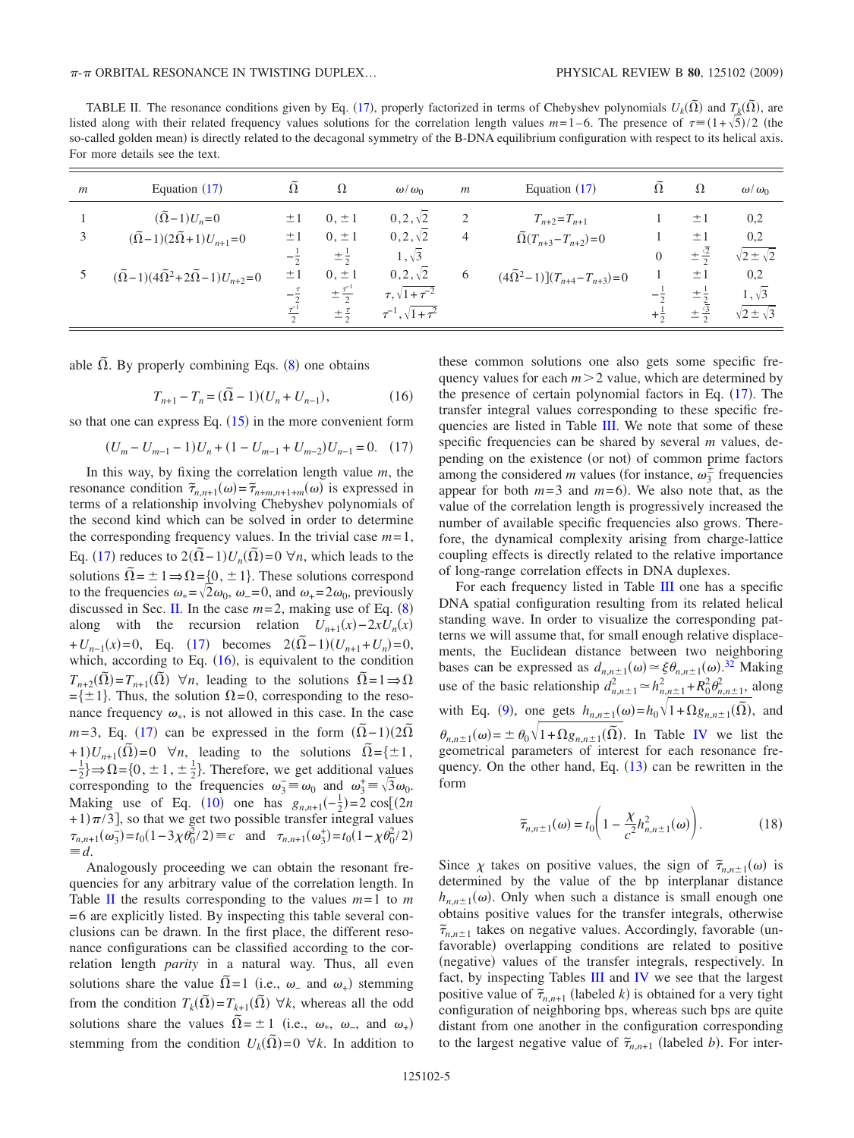<span id="page-4-2"></span>TABLE II. The resonance conditions given by Eq. ([17](#page-4-0)), properly factorized in terms of Chebyshev polynomials  $U_k(\tilde{\Omega})$  and  $T_k(\tilde{\Omega})$ , are listed along with their related frequency values solutions for the correlation length values  $m=1-6$ . The presence of  $\tau = (1+\sqrt{5})/2$  (the so-called golden mean) is directly related to the decagonal symmetry of the B-DNA equilibrium configuration with respect to its helical axis. For more details see the text.

| $\mathfrak{m}$ | Equation $(17)$                                                                                                                                                         |                                                 | Ω                                                                                        | $\omega/\omega_0$                                                                                          | $\mathfrak{m}$ | Equation $(17)$                                                                                                     | Ω                          | Ω                                                                            | $\omega/\omega_0$                                             |
|----------------|-------------------------------------------------------------------------------------------------------------------------------------------------------------------------|-------------------------------------------------|------------------------------------------------------------------------------------------|------------------------------------------------------------------------------------------------------------|----------------|---------------------------------------------------------------------------------------------------------------------|----------------------------|------------------------------------------------------------------------------|---------------------------------------------------------------|
| 3              | $(\tilde{\Omega}-1)U_n=0$<br>$(\tilde{\Omega}-1)(2\tilde{\Omega}+1)U_{n+1}=0$<br>$(\widetilde{\Omega} - 1)(4\widetilde{\Omega}^2 + 2\widetilde{\Omega} - 1)U_{n+2} = 0$ | $\pm 1$<br>$\pm 1$<br>$-\frac{1}{2}$<br>$\pm 1$ | $0, \pm 1$<br>$0, \pm 1$<br>$\pm \frac{1}{2}$<br>$0, \pm 1$<br>$\pm \frac{\tau^{-1}}{2}$ | $0, 2, \sqrt{2}$<br>$0, 2, \sqrt{2}$<br>$1, \sqrt{3}$<br>$0, 2, \sqrt{2}$<br>$\tau$ , $\sqrt{1+\tau^{-2}}$ | 2<br>4<br>6    | $T_{n+2} = T_{n+1}$<br>$\tilde{\Omega}(T_{n+3}-T_{n+2})=0$<br>$(4\tilde{\Omega}^2-1)\left(T_{n+4}-T_{n+3}\right)=0$ | $\theta$<br>$-\frac{1}{2}$ | $\pm 1$<br>$\pm 1$<br>$\pm\frac{\sqrt{2}}{2}$<br>$\pm 1$<br>$\pm\frac{1}{2}$ | 0,2<br>0,2<br>$\sqrt{2} \pm \sqrt{2}$<br>0,2<br>$1, \sqrt{3}$ |
|                |                                                                                                                                                                         |                                                 | $\pm \frac{\tau}{2}$                                                                     | $\tau^{-1}$ , $\sqrt{1+\tau^2}$                                                                            |                |                                                                                                                     |                            |                                                                              | $\sqrt{2} \pm \sqrt{3}$                                       |

<span id="page-4-1"></span>able  $\tilde{\Omega}$ . By properly combining Eqs. ([8](#page-2-6)) one obtains

$$
T_{n+1} - T_n = (\tilde{\Omega} - 1)(U_n + U_{n-1}),
$$
\n(16)

<span id="page-4-0"></span>so that one can express Eq.  $(15)$  $(15)$  $(15)$  in the more convenient form

$$
(U_m - U_{m-1} - 1)U_n + (1 - U_{m-1} + U_{m-2})U_{n-1} = 0. \quad (17)
$$

In this way, by fixing the correlation length value *m*, the resonance condition  $\tilde{\tau}_{n,n+1}(\omega) = \tilde{\tau}_{n+m,n+1+m}(\omega)$  is expressed in terms of a relationship involving Chebyshev polynomials of the second kind which can be solved in order to determine the corresponding frequency values. In the trivial case  $m=1$ , Eq. ([17](#page-4-0)) reduces to  $2(\tilde{\Omega} - 1)U_n(\tilde{\Omega}) = 0 \ \forall n$ , which leads to the solutions  $\tilde{\Omega} = \pm 1 \Rightarrow \Omega = \{0, \pm 1\}$ . These solutions correspond to the frequencies  $\omega_* = \sqrt{2\omega_0}$ ,  $\omega_- = 0$ , and  $\omega_+ = 2\omega_0$ , previously discussed in Sec. [II.](#page-1-3) In the case  $m=2$ , making use of Eq.  $(8)$  $(8)$  $(8)$ along with the recursion relation  $U_{n+1}(x) - 2xU_n(x)$  $+U_{n-1}(x)=0$ , Eq. ([17](#page-4-0)) becomes  $2(\tilde{\Omega}-1)(U_{n+1}+U_n)=0$ , which, according to Eq.  $(16)$  $(16)$  $(16)$ , is equivalent to the condition  $T_{n+2}(\tilde{\Omega}) = T_{n+1}(\tilde{\Omega})$   $\forall n$ , leading to the solutions  $\tilde{\Omega} = 1 \Rightarrow \Omega$  $=\{\pm 1\}$ . Thus, the solution  $\Omega = 0$ , corresponding to the resonance frequency  $\omega_*$ , is not allowed in this case. In the case *m*=3, Eq. ([17](#page-4-0)) can be expressed in the form  $(\overline{\Omega} - 1)(2\overline{\Omega}$  $+1)U_{n+1}(\tilde{\Omega})=0$   $\forall n$ , leading to the solutions  $\tilde{\Omega}=\{\pm 1,$  $-\frac{1}{2}$   $\Rightarrow$   $\Omega$  = {0,  $\pm$  1,  $\pm$   $\frac{1}{2}$ }. Therefore, we get additional values corresponding to the frequencies  $\omega_3 \equiv \omega_0$  and  $\omega_3^+ \equiv \sqrt{3} \omega_0$ . Making use of Eq. ([10](#page-2-5)) one has  $g_{n,n+1}(-\frac{1}{2}) = 2 \cos[(2n\pi)^n]$  $+1/\pi/3$ , so that we get two possible transfer integral values  $\tau_{n,n+1}(\omega_3^-) = t_0(1 - 3\chi \theta_0^2/2) \equiv c$  and  $\tau_{n,n+1}(\omega_3^+) = t_0(1 - \chi \theta_0^2/2)$ *d*.

Analogously proceeding we can obtain the resonant frequencies for any arbitrary value of the correlation length. In Table [II](#page-4-2) the results corresponding to the values  $m=1$  to  $m$ =6 are explicitly listed. By inspecting this table several conclusions can be drawn. In the first place, the different resonance configurations can be classified according to the correlation length *parity* in a natural way. Thus, all even solutions share the value  $\tilde{\Omega} = 1$  (i.e.,  $\omega_{-}$  and  $\omega_{+}$ ) stemming from the condition  $T_k(\tilde{\Omega}) = T_{k+1}(\tilde{\Omega}) \quad \forall k$ , whereas all the odd solutions share the values  $\tilde{\Omega} = \pm 1$  (i.e.,  $\omega_*$ ,  $\omega_*$ , and  $\omega_+$ ) stemming from the condition  $U_k(\tilde{\Omega})=0$   $\forall k$ . In addition to

these common solutions one also gets some specific frequency values for each  $m > 2$  value, which are determined by the presence of certain polynomial factors in Eq.  $(17)$  $(17)$  $(17)$ . The transfer integral values corresponding to these specific frequencies are listed in Table [III.](#page-5-0) We note that some of these specific frequencies can be shared by several *m* values, depending on the existence (or not) of common prime factors among the considered *m* values (for instance,  $\omega_3^{\pm}$  frequencies appear for both  $m=3$  and  $m=6$ ). We also note that, as the value of the correlation length is progressively increased the number of available specific frequencies also grows. Therefore, the dynamical complexity arising from charge-lattice coupling effects is directly related to the relative importance of long-range correlation effects in DNA duplexes.

For each frequency listed in Table [III](#page-5-0) one has a specific DNA spatial configuration resulting from its related helical standing wave. In order to visualize the corresponding patterns we will assume that, for small enough relative displacements, the Euclidean distance between two neighboring bases can be expressed as  $d_{n,n+1}(\omega) \approx \xi \theta_{n,n+1}(\omega)$ .<sup>[32](#page-11-18)</sup> Making use of the basic relationship  $d_{n,n\pm 1}^2 \approx h_{n,n\pm 1}^2 + R_0^2 \theta_{n,n\pm 1}^2$ , along with Eq. ([9](#page-2-7)), one gets  $h_{n,n+1}(\omega) = h_0 \sqrt{1 + \Omega g_{n,n+1}(\Omega)}$ , and  $h_{n,n\pm 1}(\omega) = \pm \theta_0 \sqrt{1 + \Omega g_{n,n\pm 1}(\tilde{\Omega})}$ . In Table [IV](#page-5-1) we list the geometrical parameters of interest for each resonance frequency. On the other hand, Eq.  $(13)$  $(13)$  $(13)$  can be rewritten in the form

$$
\widetilde{\tau}_{n,n\pm 1}(\omega) = t_0 \left( 1 - \frac{\chi}{c^2} h_{n,n\pm 1}^2(\omega) \right). \tag{18}
$$

Since  $\chi$  takes on positive values, the sign of  $\tilde{\tau}_{n,n\pm1}(\omega)$  is determined by the value of the bp interplanar distance  $h_{n,n+1}(\omega)$ . Only when such a distance is small enough one obtains positive values for the transfer integrals, otherwise  $\tilde{\tau}_{n,n\pm 1}$  takes on negative values. Accordingly, favorable (unfavorable) overlapping conditions are related to positive (negative) values of the transfer integrals, respectively. In fact, by inspecting Tables [III](#page-5-0) and [IV](#page-5-1) we see that the largest positive value of  $\tilde{\tau}_{n,n+1}$  (labeled *k*) is obtained for a very tight configuration of neighboring bps, whereas such bps are quite distant from one another in the configuration corresponding to the largest negative value of  $\tilde{\tau}_{n,n+1}$  (labeled *b*). For inter-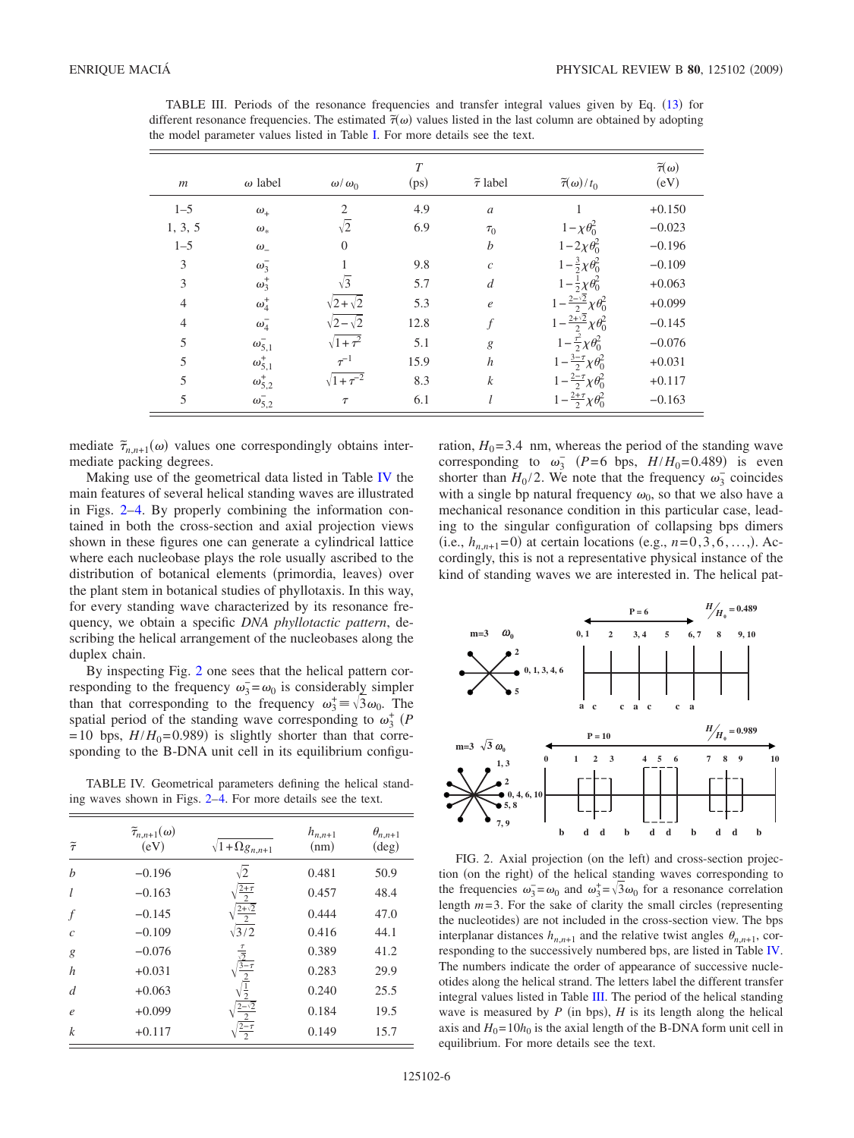<span id="page-5-0"></span>

|                                                                                                                                 |  |  | TABLE III. Periods of the resonance frequencies and transfer integral values given by Eq. (13) for |  |  |  |  |  |
|---------------------------------------------------------------------------------------------------------------------------------|--|--|----------------------------------------------------------------------------------------------------|--|--|--|--|--|
| different resonance frequencies. The estimated $\tilde{\tau}(\omega)$ values listed in the last column are obtained by adopting |  |  |                                                                                                    |  |  |  |  |  |
| the model parameter values listed in Table I. For more details see the text.                                                    |  |  |                                                                                                    |  |  |  |  |  |

| $\boldsymbol{m}$ | $\omega$ label              | $\omega/\omega_0$     | T<br>(ps) | $\tilde{\tau}$ label | $\tilde{\tau}(\omega)/t_0$             | $\widetilde{\tau}(\omega)$<br>(eV) |
|------------------|-----------------------------|-----------------------|-----------|----------------------|----------------------------------------|------------------------------------|
| $1 - 5$          | $\omega_{+}$                | 2                     | 4.9       | $\boldsymbol{a}$     | 1                                      | $+0.150$                           |
| 1, 3, 5          | $\omega_*$                  | $\sqrt{2}$            | 6.9       | $\tau_0$             | $1-\chi \theta_0^2$                    | $-0.023$                           |
| $1 - 5$          | $\omega_{-}$                | $\overline{0}$        |           | $\boldsymbol{b}$     | $1-2\chi\theta_0^2$                    | $-0.196$                           |
| 3                | $\omega_3^-$                |                       | 9.8       | $\boldsymbol{c}$     | $1-\frac{3}{2}\chi\theta_0^2$          | $-0.109$                           |
| 3                | $\omega_3^+$                | $\sqrt{3}$            | 5.7       | $\overline{d}$       | $1-\frac{1}{2}\chi\theta_0^2$          | $+0.063$                           |
| $\overline{4}$   | $\omega_4^+$                | $\sqrt{2} + \sqrt{2}$ | 5.3       | $\boldsymbol{e}$     | $1-\frac{2-\sqrt{2}}{2}\chi\theta_0^2$ | $+0.099$                           |
| $\overline{4}$   | $\omega_4^-$                | $\sqrt{2} - \sqrt{2}$ | 12.8      | $\boldsymbol{f}$     | $1-\frac{2+\sqrt{2}}{2}\chi\theta_0^2$ | $-0.145$                           |
| 5                | $\overline{\omega}_{5,1}^-$ | $\sqrt{1+\tau^2}$     | 5.1       | g                    | $1-\frac{\tau^2}{2}\chi\theta_0^2$     | $-0.076$                           |
| 5                | $\omega_{5,1}^{+}$          | $\tau^{-1}$           | 15.9      | $\boldsymbol{h}$     | $1-\frac{3-\tau}{2}\chi\theta_0^2$     | $+0.031$                           |
| 5                | $\omega_{5,2}^{+}$          | $\sqrt{1+\tau^2}$     | 8.3       | $\boldsymbol{k}$     | $1-\frac{2-\tau}{2}\chi\theta_0^2$     | $+0.117$                           |
| 5                | $\overline{\omega}_{5,2}^-$ | $\tau$                | 6.1       |                      | $1-\frac{2+\tau}{2}\chi\theta_0^2$     | $-0.163$                           |

mediate  $\tilde{\tau}_{n,n+1}(\omega)$  values one correspondingly obtains intermediate packing degrees.

Making use of the geometrical data listed in Table [IV](#page-5-1) the main features of several helical standing waves are illustrated in Figs. [2–](#page-5-2)[4.](#page-6-0) By properly combining the information contained in both the cross-section and axial projection views shown in these figures one can generate a cylindrical lattice where each nucleobase plays the role usually ascribed to the distribution of botanical elements (primordia, leaves) over the plant stem in botanical studies of phyllotaxis. In this way, for every standing wave characterized by its resonance frequency, we obtain a specific *DNA phyllotactic pattern*, describing the helical arrangement of the nucleobases along the duplex chain.

By inspecting Fig. [2](#page-5-2) one sees that the helical pattern corresponding to the frequency  $\omega_3 = \omega_0$  is considerably simpler than that corresponding to the frequency  $\omega_3^+ = \sqrt{3}\omega_0$ . The spatial period of the standing wave corresponding to  $\omega_3^+$  (*P*  $=10$  bps,  $H/H_0 = 0.989$  is slightly shorter than that corresponding to the B-DNA unit cell in its equilibrium configu-

<span id="page-5-1"></span>TABLE IV. Geometrical parameters defining the helical standing waves shown in Figs. [2–](#page-5-2)[4.](#page-6-0) For more details see the text.

| $\widetilde{\tau}$ | $\widetilde{\tau}_{n,n+1}(\omega)$<br>(eV) | $\sqrt{1 + \Omega g_{n,n+1}}$                           | $h_{n,n+1}$<br>(nm) | $\theta_{n,n+1}$<br>$(\text{deg})$ |
|--------------------|--------------------------------------------|---------------------------------------------------------|---------------------|------------------------------------|
| b                  | $-0.196$                                   | $\overline{2}$                                          | 0.481               | 50.9                               |
| $\iota$            | $-0.163$                                   | $rac{2+\tau}{2}$                                        | 0.457               | 48.4                               |
| f                  | $-0.145$                                   | $\frac{2+\sqrt{2}}{2}$                                  | 0.444               | 47.0                               |
| $\mathcal{C}$      | $-0.109$                                   | $\sqrt{3/2}$                                            | 0.416               | 44.1                               |
| g                  | $-0.076$                                   |                                                         | 0.389               | 41.2                               |
| $\boldsymbol{h}$   | $+0.031$                                   |                                                         | 0.283               | 29.9                               |
| d                  | $+0.063$                                   | $\frac{\frac{\tau}{\sqrt{2}}}{\sqrt{\frac{3-\tau}{2}}}$ | 0.240               | 25.5                               |
| $\epsilon$         | $+0.099$                                   | $\frac{2-\sqrt{2}}{2}$                                  | 0.184               | 19.5                               |
| $\boldsymbol{k}$   | $+0.117$                                   | $\frac{2-\tau}{2}$                                      | 0.149               | 15.7                               |

ration,  $H_0$ =3.4 nm, whereas the period of the standing wave corresponding to  $\omega_3^-$  (P=6 bps,  $H/H_0$ =0.489) is even shorter than  $H_0/2$ . We note that the frequency  $\omega_3^-$  coincides with a single bp natural frequency  $\omega_0$ , so that we also have a mechanical resonance condition in this particular case, leading to the singular configuration of collapsing bps dimers  $(i.e., h_{n,n+1}=0)$  at certain locations (e.g.,  $n=0,3,6,...$ ). Accordingly, this is not a representative physical instance of the kind of standing waves we are interested in. The helical pat-

<span id="page-5-2"></span>

FIG. 2. Axial projection (on the left) and cross-section projection (on the right) of the helical standing waves corresponding to the frequencies  $\omega_3^2 = \omega_0$  and  $\omega_3^4 = \sqrt{3}\omega_0$  for a resonance correlation length  $m=3$ . For the sake of clarity the small circles (representing the nucleotides) are not included in the cross-section view. The bps interplanar distances  $h_{n,n+1}$  and the relative twist angles  $\theta_{n,n+1}$ , corresponding to the successively numbered bps, are listed in Table [IV.](#page-5-1) The numbers indicate the order of appearance of successive nucleotides along the helical strand. The letters label the different transfer integral values listed in Table [III.](#page-5-0) The period of the helical standing wave is measured by  $P$  (in bps),  $H$  is its length along the helical axis and  $H_0 = 10h_0$  is the axial length of the B-DNA form unit cell in equilibrium. For more details see the text.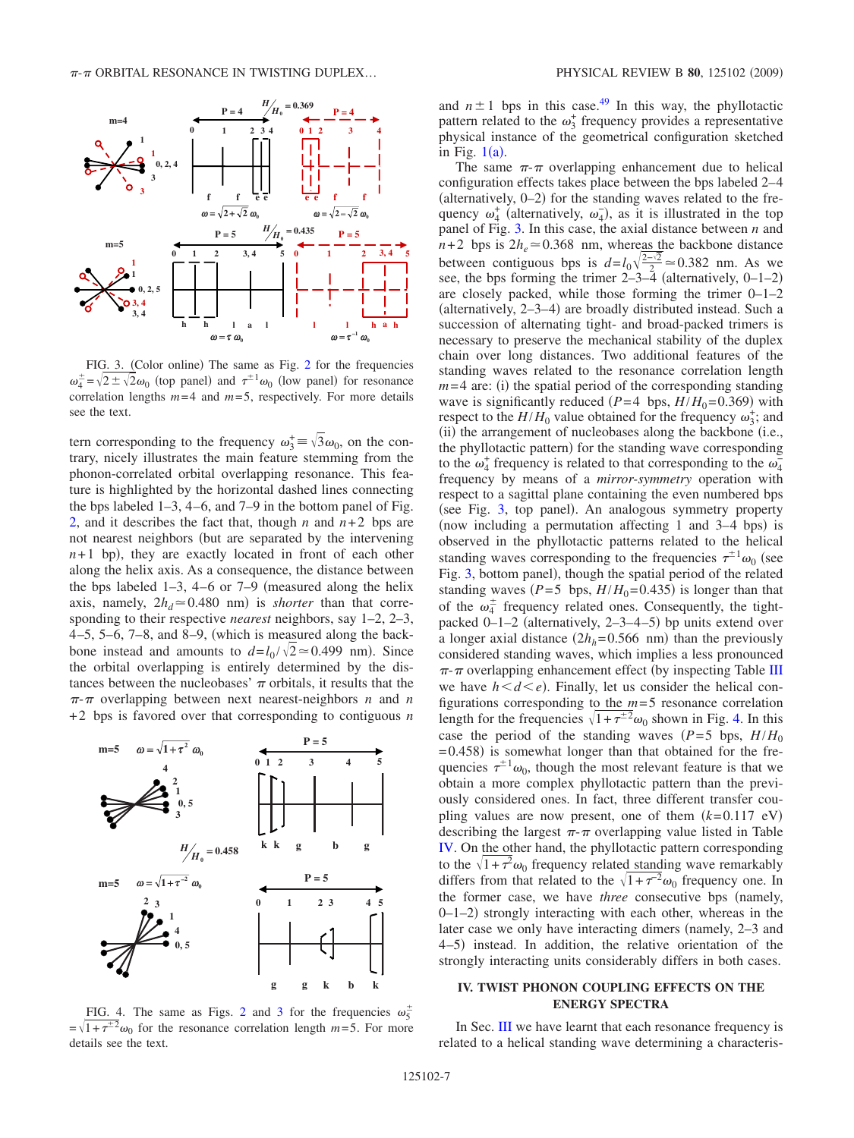<span id="page-6-1"></span>

FIG. 3. (Color online) The same as Fig. [2](#page-5-2) for the frequencies  $\omega_4^{\pm} = \sqrt{2 \pm \sqrt{2} \omega_0}$  (top panel) and  $\tau^{\pm 1} \omega_0$  (low panel) for resonance correlation lengths  $m=4$  and  $m=5$ , respectively. For more details see the text.

tern corresponding to the frequency  $\omega_3^+ \equiv \sqrt{3}\omega_0$ , on the contrary, nicely illustrates the main feature stemming from the phonon-correlated orbital overlapping resonance. This feature is highlighted by the horizontal dashed lines connecting the bps labeled 1–3, 4–6, and 7–9 in the bottom panel of Fig. [2,](#page-5-2) and it describes the fact that, though  $n$  and  $n+2$  bps are not nearest neighbors (but are separated by the intervening  $n+1$  bp), they are exactly located in front of each other along the helix axis. As a consequence, the distance between the bps labeled  $1-3$ ,  $4-6$  or  $7-9$  (measured along the helix axis, namely,  $2h_d \approx 0.480$  nm) is *shorter* than that corresponding to their respective *nearest* neighbors, say 1–2, 2–3, 4–5, 5–6, 7–8, and 8–9, which is measured along the backbone instead and amounts to  $d = l_0 / \sqrt{2} \approx 0.499$  nm). Since the orbital overlapping is entirely determined by the distances between the nucleobases'  $\pi$  orbitals, it results that the  $\pi$ - $\pi$  overlapping between next nearest-neighbors *n* and *n* +2 bps is favored over that corresponding to contiguous *n*

<span id="page-6-0"></span>

FIG. 4. The same as Figs. [2](#page-5-2) and [3](#page-6-1) for the frequencies  $\omega_5^{\pm}$  $=\sqrt{1+\tau^2}\omega_0$  for the resonance correlation length *m*=5. For more details see the text.

and  $n \pm 1$  bps in this case.<sup>49</sup> In this way, the phyllotactic pattern related to the  $\omega_3^+$  frequency provides a representative physical instance of the geometrical configuration sketched in Fig.  $1(a)$  $1(a)$ .

The same  $\pi$ - $\pi$  overlapping enhancement due to helical configuration effects takes place between the bps labeled 2–4 (alternatively,  $0-2$ ) for the standing waves related to the frequency  $\omega_4^+$  (alternatively,  $\omega_4^-$ ), as it is illustrated in the top panel of Fig. [3.](#page-6-1) In this case, the axial distance between *n* and  $n+2$  bps is  $2h_e \approx 0.368$  nm, whereas the backbone distance between contiguous bps is  $d = l_0 \sqrt{\frac{2-\sqrt{2}}{2}} \approx 0.382$  nm. As we see, the bps forming the trimer  $2\overline{-3}$   $\overline{-4}$  (alternatively, 0–1–2) are closely packed, while those forming the trimer 0–1–2 (alternatively,  $2-3-4$ ) are broadly distributed instead. Such a succession of alternating tight- and broad-packed trimers is necessary to preserve the mechanical stability of the duplex chain over long distances. Two additional features of the standing waves related to the resonance correlation length  $m=4$  are: (i) the spatial period of the corresponding standing wave is significantly reduced  $(P=4 \text{ bps}, H/H_0=0.369)$  with respect to the  $H/H_0$  value obtained for the frequency  $\omega_3^2$ ; and (ii) the arrangement of nucleobases along the backbone (i.e., the phyllotactic pattern) for the standing wave corresponding to the  $\omega_4^+$  frequency is related to that corresponding to the  $\omega_4^$ frequency by means of a *mirror-symmetry* operation with respect to a sagittal plane containing the even numbered bps (see Fig. [3,](#page-6-1) top panel). An analogous symmetry property (now including a permutation affecting 1 and  $3-4$  bps) is observed in the phyllotactic patterns related to the helical standing waves corresponding to the frequencies  $\tau^{\pm 1}\omega_0$  (see Fig. [3,](#page-6-1) bottom panel), though the spatial period of the related standing waves  $(P=5 \text{ bps}, H/H_0=0.435)$  is longer than that of the  $\omega_4^{\pm}$  frequency related ones. Consequently, the tightpacked  $0-1-2$  (alternatively, 2-3-4-5) bp units extend over a longer axial distance  $(2h_h=0.566$  nm) than the previously considered standing waves, which implies a less pronounced  $\pi$ - $\pi$  overlapping enhancement effect (by inspecting Table [III](#page-5-0) we have  $h < d < e$ ). Finally, let us consider the helical configurations corresponding to the *m*=5 resonance correlation length for the frequencies  $\sqrt{1+\tau^2}\omega_0$  shown in Fig. [4.](#page-6-0) In this case the period of the standing waves  $(P=5$  bps,  $H/H_0$  $= 0.458$ ) is somewhat longer than that obtained for the frequencies  $\tau^{\pm 1}\omega_0$ , though the most relevant feature is that we obtain a more complex phyllotactic pattern than the previously considered ones. In fact, three different transfer coupling values are now present, one of them  $(k=0.117 \text{ eV})$ describing the largest  $\pi - \pi$  overlapping value listed in Table [IV.](#page-5-1) On the other hand, the phyllotactic pattern corresponding to the  $\sqrt{1+\tau^2}\omega_0$  frequency related standing wave remarkably differs from that related to the  $\sqrt{1+\tau^{-2}}\omega_0$  frequency one. In the former case, we have *three* consecutive bps (namely, 0-1-2) strongly interacting with each other, whereas in the later case we only have interacting dimers (namely, 2–3 and 4-5) instead. In addition, the relative orientation of the strongly interacting units considerably differs in both cases.

## **IV. TWIST PHONON COUPLING EFFECTS ON THE ENERGY SPECTRA**

In Sec. [III](#page-3-4) we have learnt that each resonance frequency is related to a helical standing wave determining a characteris-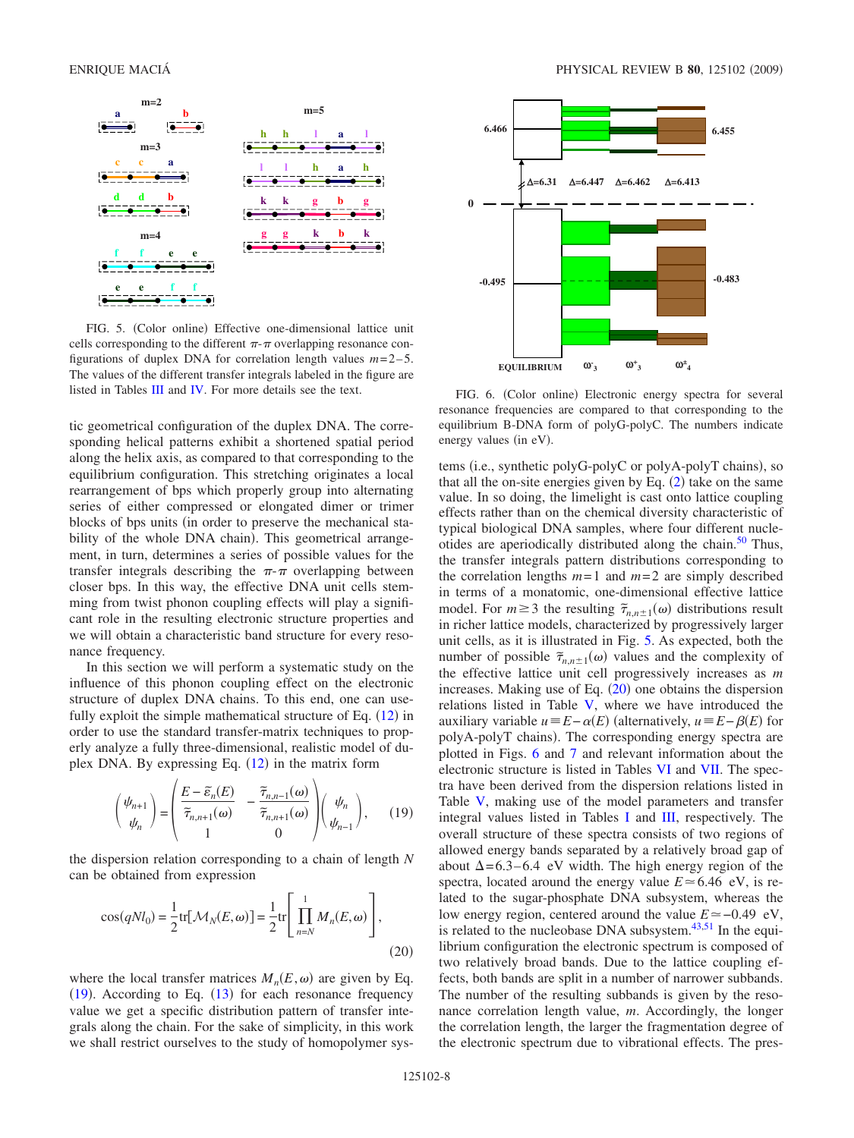<span id="page-7-1"></span>

FIG. 5. (Color online) Effective one-dimensional lattice unit cells corresponding to the different  $\pi$ - $\pi$  overlapping resonance configurations of duplex DNA for correlation length values *m*=2–5. The values of the different transfer integrals labeled in the figure are listed in Tables [III](#page-5-0) and [IV.](#page-5-1) For more details see the text.

tic geometrical configuration of the duplex DNA. The corresponding helical patterns exhibit a shortened spatial period along the helix axis, as compared to that corresponding to the equilibrium configuration. This stretching originates a local rearrangement of bps which properly group into alternating series of either compressed or elongated dimer or trimer blocks of bps units (in order to preserve the mechanical stability of the whole DNA chain). This geometrical arrangement, in turn, determines a series of possible values for the transfer integrals describing the  $\pi$ - $\pi$  overlapping between closer bps. In this way, the effective DNA unit cells stemming from twist phonon coupling effects will play a significant role in the resulting electronic structure properties and we will obtain a characteristic band structure for every resonance frequency.

In this section we will perform a systematic study on the influence of this phonon coupling effect on the electronic structure of duplex DNA chains. To this end, one can usefully exploit the simple mathematical structure of Eq.  $(12)$  $(12)$  $(12)$  in order to use the standard transfer-matrix techniques to properly analyze a fully three-dimensional, realistic model of duplex DNA. By expressing Eq.  $(12)$  $(12)$  $(12)$  in the matrix form

<span id="page-7-0"></span>
$$
\begin{pmatrix} \psi_{n+1} \\ \psi_n \end{pmatrix} = \begin{pmatrix} \frac{E - \widetilde{\varepsilon}_n(E)}{\widetilde{\tau}_{n,n+1}(\omega)} & -\frac{\widetilde{\tau}_{n,n-1}(\omega)}{\widetilde{\tau}_{n,n+1}(\omega)} \\ 1 & 0 \end{pmatrix} \begin{pmatrix} \psi_n \\ \psi_{n-1} \end{pmatrix}, \qquad (19)
$$

the dispersion relation corresponding to a chain of length *N* can be obtained from expression

<span id="page-7-2"></span>
$$
\cos(qNl_0) = \frac{1}{2} \text{tr}[\mathcal{M}_N(E,\omega)] = \frac{1}{2} \text{tr}\left[\prod_{n=N}^{1} M_n(E,\omega)\right],
$$
\n(20)

where the local transfer matrices  $M_n(E, \omega)$  are given by Eq.  $(19)$  $(19)$  $(19)$ . According to Eq.  $(13)$  $(13)$  $(13)$  for each resonance frequency value we get a specific distribution pattern of transfer integrals along the chain. For the sake of simplicity, in this work we shall restrict ourselves to the study of homopolymer sys-

<span id="page-7-3"></span>

FIG. 6. (Color online) Electronic energy spectra for several resonance frequencies are compared to that corresponding to the equilibrium B-DNA form of polyG-polyC. The numbers indicate energy values (in eV).

tems (i.e., synthetic polyG-polyC or polyA-polyT chains), so that all the on-site energies given by Eq.  $(2)$  $(2)$  $(2)$  take on the same value. In so doing, the limelight is cast onto lattice coupling effects rather than on the chemical diversity characteristic of typical biological DNA samples, where four different nucleotides are aperiodically distributed along the chain.<sup>50</sup> Thus, the transfer integrals pattern distributions corresponding to the correlation lengths  $m=1$  and  $m=2$  are simply described in terms of a monatomic, one-dimensional effective lattice model. For  $m \ge 3$  the resulting  $\tilde{\tau}_{n,n\pm1}(\omega)$  distributions result in richer lattice models, characterized by progressively larger unit cells, as it is illustrated in Fig. [5.](#page-7-1) As expected, both the number of possible  $\tilde{\tau}_{n,n+1}(\omega)$  values and the complexity of the effective lattice unit cell progressively increases as *m* increases. Making use of Eq.  $(20)$  $(20)$  $(20)$  one obtains the dispersion relations listed in Table [V,](#page-8-0) where we have introduced the auxiliary variable  $u \equiv E - \alpha(E)$  (alternatively,  $u \equiv E - \beta(E)$  for polyA-polyT chains). The corresponding energy spectra are plotted in Figs. [6](#page-7-3) and [7](#page-8-1) and relevant information about the electronic structure is listed in Tables [VI](#page-9-0) and [VII.](#page-9-1) The spectra have been derived from the dispersion relations listed in Table [V,](#page-8-0) making use of the model parameters and transfer integral values listed in Tables [I](#page-2-0) and [III,](#page-5-0) respectively. The overall structure of these spectra consists of two regions of allowed energy bands separated by a relatively broad gap of about  $\Delta$ =6.3–6.4 eV width. The high energy region of the spectra, located around the energy value  $E \approx 6.46$  eV, is related to the sugar-phosphate DNA subsystem, whereas the low energy region, centered around the value *E*  $\approx$  -0.49 eV, is related to the nucleobase DNA subsystem. $43,51$  $43,51$  In the equilibrium configuration the electronic spectrum is composed of two relatively broad bands. Due to the lattice coupling effects, both bands are split in a number of narrower subbands. The number of the resulting subbands is given by the resonance correlation length value, *m*. Accordingly, the longer the correlation length, the larger the fragmentation degree of the electronic spectrum due to vibrational effects. The pres-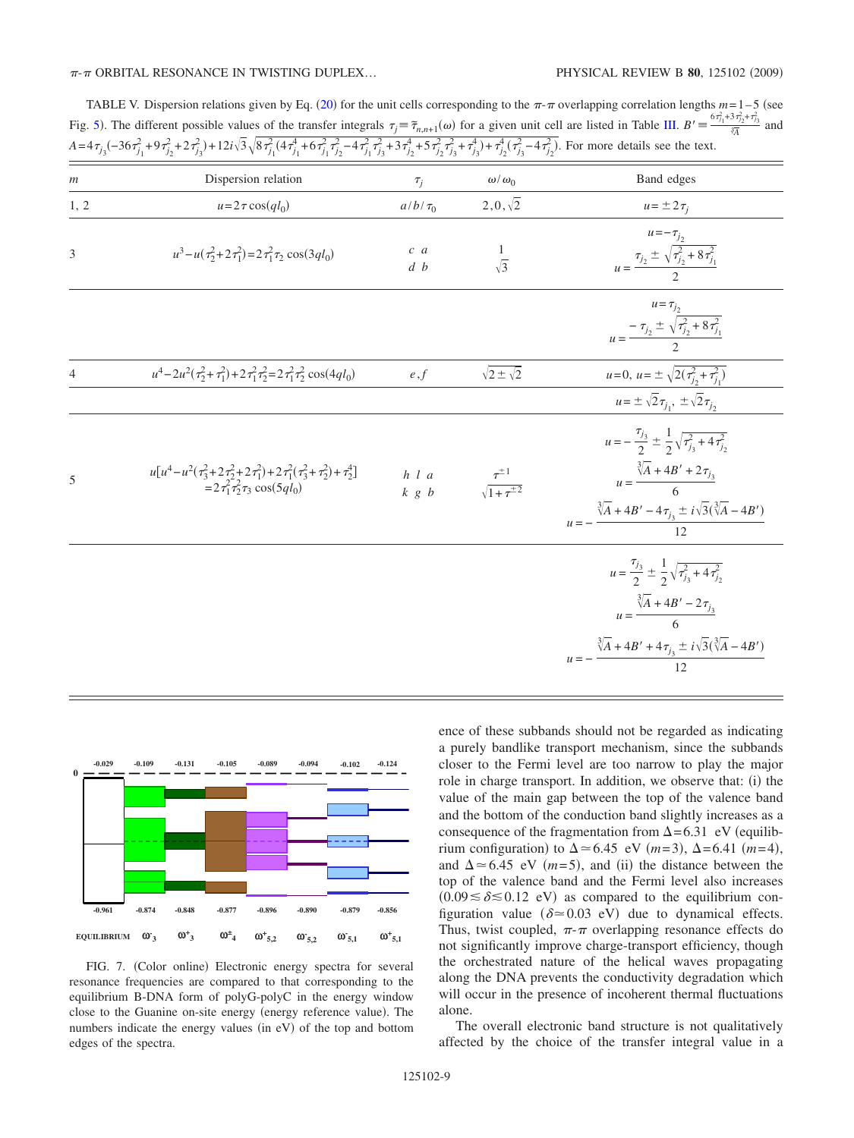<span id="page-8-0"></span>TABLE V. Dispersion relations given by Eq. ([20](#page-7-2)) for the unit cells corresponding to the  $\pi$ - $\pi$  overlapping correlation lengths  $m=1-5$  (see Fig. [5](#page-7-1)). The different possible values of the transfer integrals  $\tau_j \equiv \tilde{\tau}_{n,n+1}(\omega)$  for a given unit cell are listed in Table [III.](#page-5-0)  $B' \equiv \frac{6\tilde{\tau}_{j_1}^2 + 3\tilde{\tau}_{j_2}^2 + \tilde{\tau}_{j_3}^2}{\sqrt{A}}$  and  $A=4\tau_{j_3}(-36\tau_{j_1}^2+9\tau_{j_2}^2+2\tau_{j_3}^2)+12i\sqrt{3}\sqrt{8\tau_{j_1}^2(4\tau_{j_1}^4+6\tau_{j_1}^2\tau_{j_2}^2-4\tau_{j_1}^2\tau_{j_3}^2+3\tau_{j_2}^4+5\tau_{j_2}^2\tau_{j_3}^2+\tau_{j_3}^4)+\tau_{j_2}^4(\tau_{j_3}^2-4\tau_{j_2}^2)}$ . For more details see the text.

| m    | Dispersion relation                                                                                                                      | $\tau_i$             | $\omega/\omega_0$                          | Band edges                                                                                                                                                                                                               |
|------|------------------------------------------------------------------------------------------------------------------------------------------|----------------------|--------------------------------------------|--------------------------------------------------------------------------------------------------------------------------------------------------------------------------------------------------------------------------|
| 1, 2 | $u=2\tau \cos(ql_0)$                                                                                                                     | $a/b/\tau_0$         | $2,0,\sqrt{2}$                             | $u = \pm 2\tau_i$                                                                                                                                                                                                        |
| 3    | $u^3 - u(\tau_2^2 + 2\tau_1^2) = 2\tau_1^2 \tau_2 \cos(3q l_0)$                                                                          | c a<br>$d\,b$        | 1<br>$\sqrt{3}$                            | $u=-\tau_{j_2}$<br>$u = \frac{\tau_{j_2} \pm \sqrt{\tau_{j_2}^2 + 8\tau_{j_1}^2}}{2}$                                                                                                                                    |
|      |                                                                                                                                          |                      |                                            | $u = \tau_{i}$<br>$u = \frac{-\tau_{j_2} \pm \sqrt{\tau_{j_2}^2 + 8\tau_{j_1}^2}}{2}$                                                                                                                                    |
| 4    | $u^4-2u^2(\tau_2^2+\tau_1^2)+2\tau_1^2\tau_2^2=2\tau_1^2\tau_2^2\cos(4ql_0)$                                                             | e, f                 | $\sqrt{2\pm\sqrt{2}}$                      | $u=0, u=\pm \sqrt{2(\tau_{j_2}^2+\tau_{j_1}^2)}$                                                                                                                                                                         |
|      |                                                                                                                                          |                      |                                            | $u = \pm \sqrt{2} \tau_{j_1}, \pm \sqrt{2} \tau_{j_2}$                                                                                                                                                                   |
| 5    | $u[u^4 - u^2(\tau_3^2 + 2\tau_2^2 + 2\tau_1^2) + 2\tau_1^2(\tau_3^2 + \tau_2^2) + \tau_2^4]$<br>$= 2\tau_1^2 \tau_2^2 \tau_3 \cos(5q_0)$ | $h$ l a<br>$k$ g $b$ | $rac{\tau^{\pm 1}}{\sqrt{1+\tau^{\pm 2}}}$ | $u=-\frac{\tau_{j_3}}{2}\pm\frac{1}{2}\sqrt{\tau_{j_3}^2+4\tau_{j_2}^2}$<br>$u = \frac{\sqrt[3]{A} + 4B' + 2\tau_{j_3}}{6}$<br>$u = -\frac{\sqrt[3]{A} + 4B' - 4\tau_{j_3} \pm i\sqrt{3}(\sqrt[3]{A} - 4B')}{12}$        |
|      |                                                                                                                                          |                      |                                            | $u = \frac{\tau_{j_3}}{2} \pm \frac{1}{2} \sqrt{\tau_{j_3}^2 + 4 \tau_{j_2}^2}$<br>$u = \frac{\sqrt[3]{A} + 4B' - 2\tau_{j_3}}{6}$<br>$u = -\frac{\sqrt[3]{A} + 4B' + 4\tau_{j_3} \pm i\sqrt{3}(\sqrt[3]{A} - 4B')}{12}$ |

<span id="page-8-1"></span>

FIG. 7. (Color online) Electronic energy spectra for several resonance frequencies are compared to that corresponding to the equilibrium B-DNA form of polyG-polyC in the energy window close to the Guanine on-site energy (energy reference value). The numbers indicate the energy values (in eV) of the top and bottom edges of the spectra.

ence of these subbands should not be regarded as indicating a purely bandlike transport mechanism, since the subbands closer to the Fermi level are too narrow to play the major role in charge transport. In addition, we observe that: (i) the value of the main gap between the top of the valence band and the bottom of the conduction band slightly increases as a consequence of the fragmentation from  $\Delta = 6.31$  eV (equilibrium configuration) to  $\Delta \approx 6.45$  eV *(m*=3),  $\Delta = 6.41$  *(m*=4), and  $\Delta \approx 6.45$  eV (*m*=5), and (ii) the distance between the top of the valence band and the Fermi level also increases  $(0.09 \le \delta \le 0.12 \text{ eV})$  as compared to the equilibrium configuration value ( $\delta \approx 0.03$  eV) due to dynamical effects. Thus, twist coupled,  $\pi$ - $\pi$  overlapping resonance effects do not significantly improve charge-transport efficiency, though the orchestrated nature of the helical waves propagating along the DNA prevents the conductivity degradation which will occur in the presence of incoherent thermal fluctuations alone.

The overall electronic band structure is not qualitatively affected by the choice of the transfer integral value in a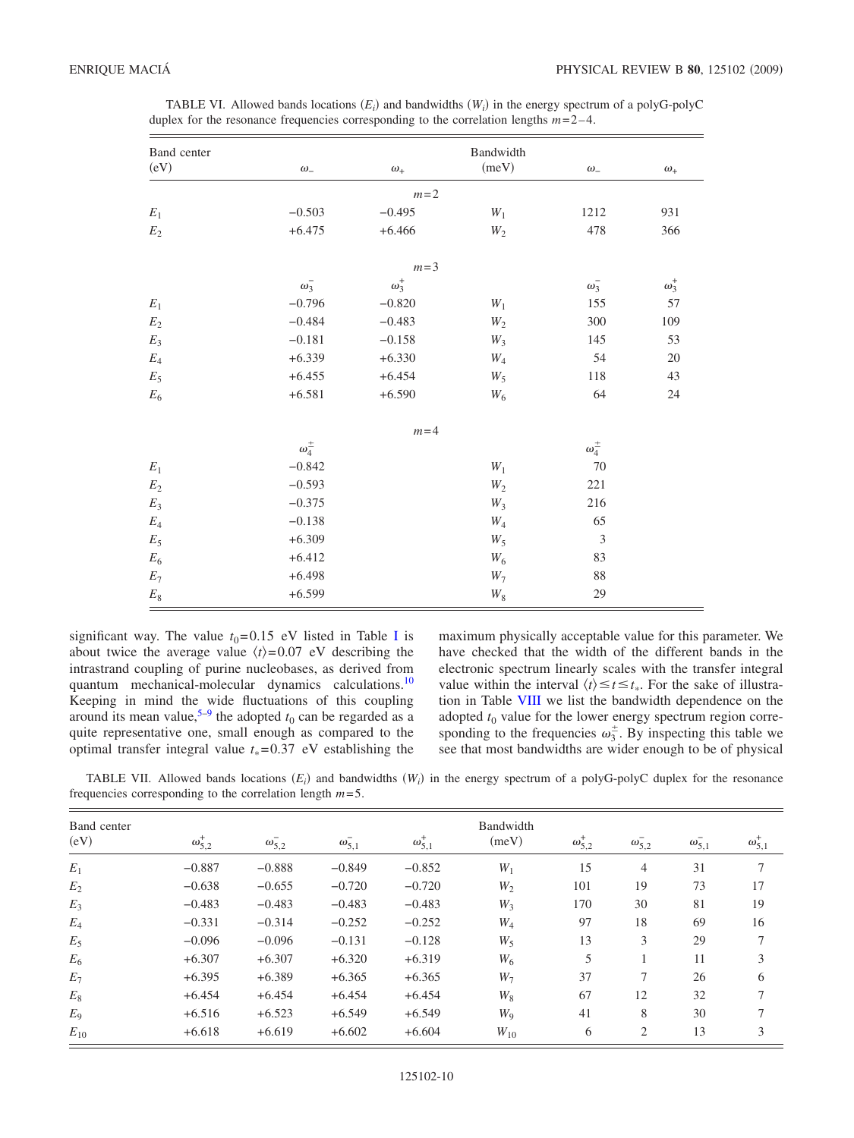| Band center     |                  |              | Bandwidth          |                             |              |
|-----------------|------------------|--------------|--------------------|-----------------------------|--------------|
| (eV)            | $\omega_-$       | $\omega_{+}$ | (meV)              | $\omega_-$                  | $\omega_+$   |
|                 |                  | $m=2$        |                    |                             |              |
| $\mathcal{E}_1$ | $-0.503$         | $-0.495$     | $W_1$              | 1212                        | 931          |
| $\mathcal{E}_2$ | $+6.475$         | $+6.466$     | $\ensuremath{W}_2$ | 478                         | 366          |
|                 |                  | $m=3$        |                    |                             |              |
|                 | $\omega_3^-$     | $\omega_3^+$ |                    | $\omega_3^-$                | $\omega_3^+$ |
| $E_1$           | $-0.796$         | $-0.820$     | $W_1$              | 155                         | 57           |
| $\mathcal{E}_2$ | $-0.484$         | $-0.483$     | $W_2$              | 300                         | 109          |
| $\mathcal{E}_3$ | $-0.181$         | $-0.158$     | $W_3$              | 145                         | 53           |
| $\mathcal{E}_4$ | $+6.339$         | $+6.330$     | $W_4$              | 54                          | 20           |
| $E_5$           | $+6.455$         | $+6.454$     | $W_5$              | 118                         | 43           |
| $E_6$           | $+6.581$         | $+6.590$     | $W_6$              | 64                          | 24           |
|                 |                  | $m=4$        |                    |                             |              |
|                 | $\omega_4^{\pm}$ |              |                    | $\omega_4^{\pm}$            |              |
| $\mathcal{E}_1$ | $-0.842$         |              | $W_1$              | 70                          |              |
| $\mathcal{E}_2$ | $-0.593$         |              | $W_2$              | 221                         |              |
| $E_3$           | $-0.375$         |              | $W_3$              | 216                         |              |
| $\mathcal{E}_4$ | $-0.138$         |              | $W_4$              | 65                          |              |
| $\mathcal{E}_5$ | $+6.309$         |              | $W_5$              | $\ensuremath{\mathfrak{Z}}$ |              |
| $\mathcal{E}_6$ | $+6.412$         |              | $W_6$              | 83                          |              |
| $\mathcal{E}_7$ | $+6.498$         |              | $W_7$              | $88\,$                      |              |
| $E_8\,$         | $+6.599$         |              | $\mathfrak{W}_8$   | 29                          |              |

<span id="page-9-0"></span>TABLE VI. Allowed bands locations  $(E_i)$  and bandwidths  $(W_i)$  in the energy spectrum of a polyG-polyC duplex for the resonance frequencies corresponding to the correlation lengths *m*=2–4.

significant way. The value  $t_0$ =0.15 eV listed in Table [I](#page-2-0) is about twice the average value  $\langle t \rangle$ =0.07 eV describing the intrastrand coupling of purine nucleobases, as derived from quantum mechanical-molecular dynamics calculations[.10](#page-11-7) Keeping in mind the wide fluctuations of this coupling around its mean value,<sup>5–[9](#page-11-6)</sup> the adopted  $t_0$  can be regarded as a quite representative one, small enough as compared to the optimal transfer integral value  $t_* = 0.37$  eV establishing the maximum physically acceptable value for this parameter. We have checked that the width of the different bands in the electronic spectrum linearly scales with the transfer integral value within the interval  $\langle t \rangle \leq t \leq t_*$ . For the sake of illustration in Table [VIII](#page-10-0) we list the bandwidth dependence on the adopted  $t_0$  value for the lower energy spectrum region corresponding to the frequencies  $\omega_3^{\pm}$ . By inspecting this table we see that most bandwidths are wider enough to be of physical

<span id="page-9-1"></span>TABLE VII. Allowed bands locations  $(E_i)$  and bandwidths  $(W_i)$  in the energy spectrum of a polyG-polyC duplex for the resonance frequencies corresponding to the correlation length *m*=5.

| Band center<br>(eV) | $\omega_{5,2}^{+}$ | $\omega_{5,2}^-$ | $\omega_{5,1}^-$ | $\omega_{5,1}^{+}$ | Bandwidth<br>(meV) | $\omega_{5,2}^{+}$ | $\omega_{5,2}^-$ | $\overline{\omega}_{5,1}$ | $\omega_{5,1}^{+}$ |
|---------------------|--------------------|------------------|------------------|--------------------|--------------------|--------------------|------------------|---------------------------|--------------------|
| $E_1$               | $-0.887$           | $-0.888$         | $-0.849$         | $-0.852$           | $W_1$              | 15                 | $\overline{4}$   | 31                        | $\overline{7}$     |
| $E_2$               | $-0.638$           | $-0.655$         | $-0.720$         | $-0.720$           | $W_2$              | 101                | 19               | 73                        | 17                 |
| $E_3$               | $-0.483$           | $-0.483$         | $-0.483$         | $-0.483$           | $W_3$              | 170                | 30               | 81                        | 19                 |
| $E_4$               | $-0.331$           | $-0.314$         | $-0.252$         | $-0.252$           | $W_4$              | 97                 | 18               | 69                        | 16                 |
| $E_5$               | $-0.096$           | $-0.096$         | $-0.131$         | $-0.128$           | $W_5$              | 13                 | 3                | 29                        | 7                  |
| $E_6$               | $+6.307$           | $+6.307$         | $+6.320$         | $+6.319$           | $W_6$              | 5                  | 1                | 11                        | 3                  |
| $E_7$               | $+6.395$           | $+6.389$         | $+6.365$         | $+6.365$           | $W_7$              | 37                 | $\tau$           | 26                        | 6                  |
| $E_8$               | $+6.454$           | $+6.454$         | $+6.454$         | $+6.454$           | $W_8$              | 67                 | 12               | 32                        | 7                  |
| $E_9$               | $+6.516$           | $+6.523$         | $+6.549$         | $+6.549$           | $W_{\rm 9}$        | 41                 | 8                | 30                        | 7                  |
| $E_{10}$            | $+6.618$           | $+6.619$         | $+6.602$         | $+6.604$           | $W_{10}$           | 6                  | $\overline{2}$   | 13                        | 3                  |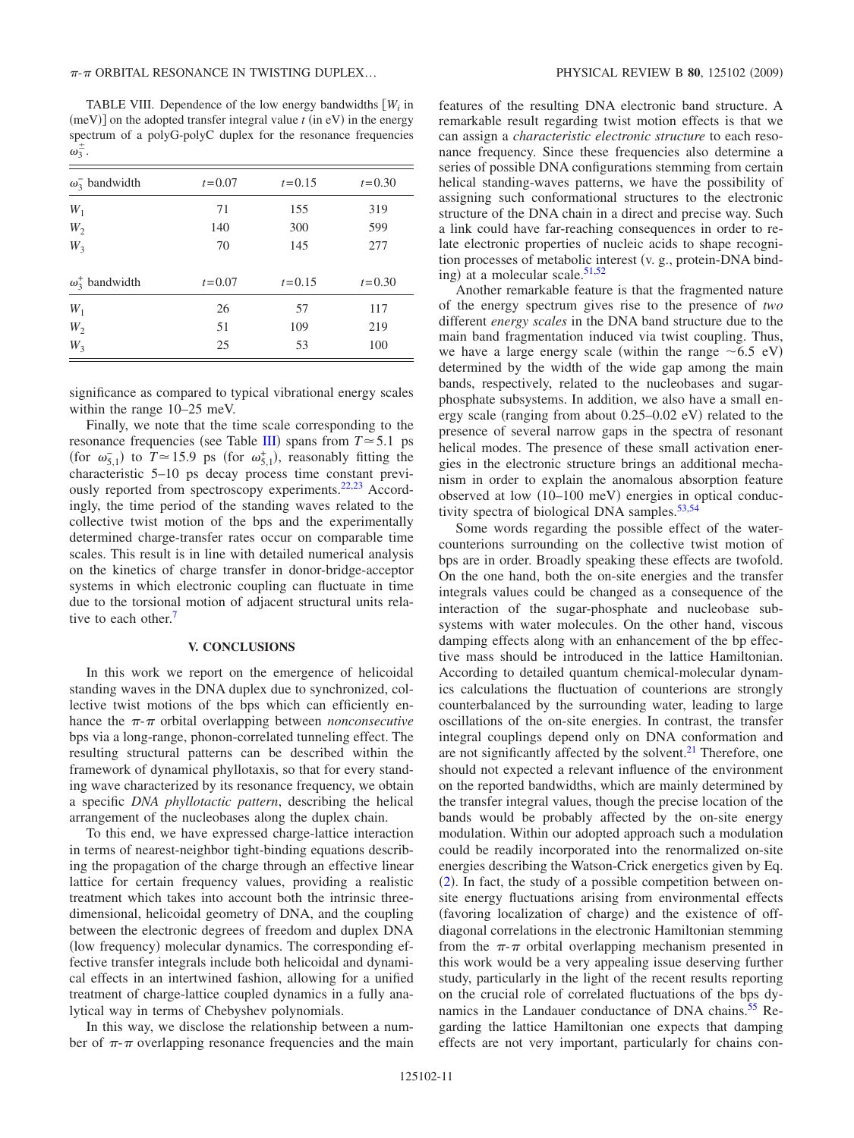<span id="page-10-0"></span>TABLE VIII. Dependence of the low energy bandwidths *Wi* in  $(meV)$  on the adopted transfer integral value  $t$  (in eV) in the energy spectrum of a polyG-polyC duplex for the resonance frequencies  $\omega_3^{\pm}$ .

| $\omega_3^-$ bandwidth | $t = 0.07$ | $t = 0.15$ | $t = 0.30$ |
|------------------------|------------|------------|------------|
| $W_1$                  | 71         | 155        | 319        |
| $W_2$                  | 140        | 300        | 599        |
| $W_3$                  | 70         | 145        | 277        |
| $\omega_3^+$ bandwidth | $t = 0.07$ | $t = 0.15$ | $t = 0.30$ |
| $W_1$                  | 26         | 57         | 117        |
| $W_2$                  | 51         | 109        | 219        |
| $W_3$                  | 25         | 53         | 100        |

significance as compared to typical vibrational energy scales within the range 10–25 meV.

Finally, we note that the time scale corresponding to the resonance frequencies (see Table [III](#page-5-0)) spans from  $T \approx 5.1$  ps (for  $\omega_{5,1}$ ) to  $T \approx 15.9$  ps (for  $\omega_{5,1}^+$ ), reasonably fitting the characteristic 5–10 ps decay process time constant previ-ously reported from spectroscopy experiments.<sup>22,[23](#page-11-11)</sup> Accordingly, the time period of the standing waves related to the collective twist motion of the bps and the experimentally determined charge-transfer rates occur on comparable time scales. This result is in line with detailed numerical analysis on the kinetics of charge transfer in donor-bridge-acceptor systems in which electronic coupling can fluctuate in time due to the torsional motion of adjacent structural units relative to each other. $\frac{7}{1}$ 

## **V. CONCLUSIONS**

In this work we report on the emergence of helicoidal standing waves in the DNA duplex due to synchronized, collective twist motions of the bps which can efficiently enhance the  $\pi$ - $\pi$  orbital overlapping between *nonconsecutive* bps via a long-range, phonon-correlated tunneling effect. The resulting structural patterns can be described within the framework of dynamical phyllotaxis, so that for every standing wave characterized by its resonance frequency, we obtain a specific *DNA phyllotactic pattern*, describing the helical arrangement of the nucleobases along the duplex chain.

To this end, we have expressed charge-lattice interaction in terms of nearest-neighbor tight-binding equations describing the propagation of the charge through an effective linear lattice for certain frequency values, providing a realistic treatment which takes into account both the intrinsic threedimensional, helicoidal geometry of DNA, and the coupling between the electronic degrees of freedom and duplex DNA (low frequency) molecular dynamics. The corresponding effective transfer integrals include both helicoidal and dynamical effects in an intertwined fashion, allowing for a unified treatment of charge-lattice coupled dynamics in a fully analytical way in terms of Chebyshev polynomials.

In this way, we disclose the relationship between a number of  $\pi$ - $\pi$  overlapping resonance frequencies and the main features of the resulting DNA electronic band structure. A remarkable result regarding twist motion effects is that we can assign a *characteristic electronic structure* to each resonance frequency. Since these frequencies also determine a series of possible DNA configurations stemming from certain helical standing-waves patterns, we have the possibility of assigning such conformational structures to the electronic structure of the DNA chain in a direct and precise way. Such a link could have far-reaching consequences in order to relate electronic properties of nucleic acids to shape recognition processes of metabolic interest (v. g., protein-DNA bind-ing) at a molecular scale.<sup>51[,52](#page-12-8)</sup>

Another remarkable feature is that the fragmented nature of the energy spectrum gives rise to the presence of *two* different *energy scales* in the DNA band structure due to the main band fragmentation induced via twist coupling. Thus, we have a large energy scale (within the range  $\sim 6.5$  eV) determined by the width of the wide gap among the main bands, respectively, related to the nucleobases and sugarphosphate subsystems. In addition, we also have a small energy scale (ranging from about 0.25–0.02 eV) related to the presence of several narrow gaps in the spectra of resonant helical modes. The presence of these small activation energies in the electronic structure brings an additional mechanism in order to explain the anomalous absorption feature observed at low (10-100 meV) energies in optical conduc-tivity spectra of biological DNA samples.<sup>53[,54](#page-12-10)</sup>

Some words regarding the possible effect of the watercounterions surrounding on the collective twist motion of bps are in order. Broadly speaking these effects are twofold. On the one hand, both the on-site energies and the transfer integrals values could be changed as a consequence of the interaction of the sugar-phosphate and nucleobase subsystems with water molecules. On the other hand, viscous damping effects along with an enhancement of the bp effective mass should be introduced in the lattice Hamiltonian. According to detailed quantum chemical-molecular dynamics calculations the fluctuation of counterions are strongly counterbalanced by the surrounding water, leading to large oscillations of the on-site energies. In contrast, the transfer integral couplings depend only on DNA conformation and are not significantly affected by the solvent.<sup>21</sup> Therefore, one should not expected a relevant influence of the environment on the reported bandwidths, which are mainly determined by the transfer integral values, though the precise location of the bands would be probably affected by the on-site energy modulation. Within our adopted approach such a modulation could be readily incorporated into the renormalized on-site energies describing the Watson-Crick energetics given by Eq. ([2](#page-1-2)). In fact, the study of a possible competition between onsite energy fluctuations arising from environmental effects (favoring localization of charge) and the existence of offdiagonal correlations in the electronic Hamiltonian stemming from the  $\pi$ - $\pi$  orbital overlapping mechanism presented in this work would be a very appealing issue deserving further study, particularly in the light of the recent results reporting on the crucial role of correlated fluctuations of the bps dynamics in the Landauer conductance of DNA chains.<sup>55</sup> Regarding the lattice Hamiltonian one expects that damping effects are not very important, particularly for chains con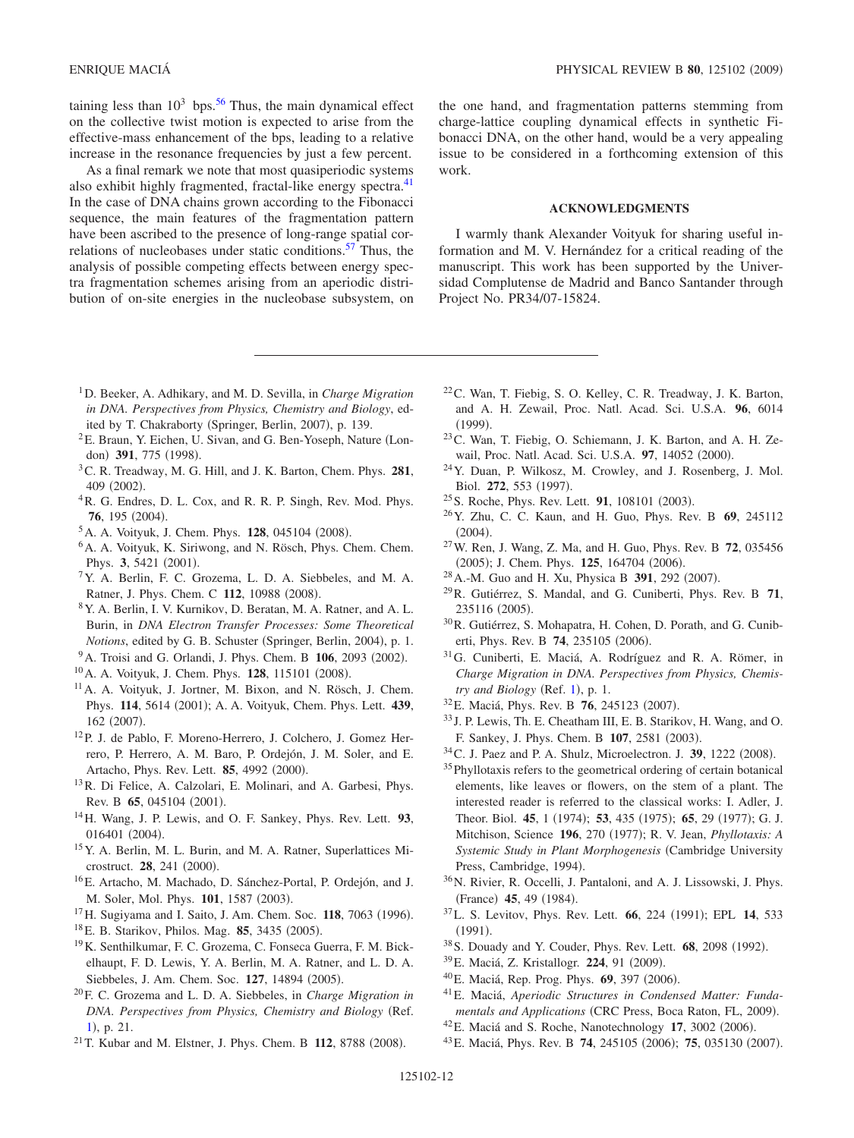taining less than  $10^3$  bps.<sup>56</sup> Thus, the main dynamical effect on the collective twist motion is expected to arise from the effective-mass enhancement of the bps, leading to a relative increase in the resonance frequencies by just a few percent.

As a final remark we note that most quasiperiodic systems also exhibit highly fragmented, fractal-like energy spectra.<sup>41</sup> In the case of DNA chains grown according to the Fibonacci sequence, the main features of the fragmentation pattern have been ascribed to the presence of long-range spatial correlations of nucleobases under static conditions. $57$  Thus, the analysis of possible competing effects between energy spectra fragmentation schemes arising from an aperiodic distribution of on-site energies in the nucleobase subsystem, on the one hand, and fragmentation patterns stemming from charge-lattice coupling dynamical effects in synthetic Fibonacci DNA, on the other hand, would be a very appealing issue to be considered in a forthcoming extension of this work.

## **ACKNOWLEDGMENTS**

I warmly thank Alexander Voityuk for sharing useful information and M. V. Hernández for a critical reading of the manuscript. This work has been supported by the Universidad Complutense de Madrid and Banco Santander through Project No. PR34/07-15824.

- <span id="page-11-0"></span>1D. Beeker, A. Adhikary, and M. D. Sevilla, in *Charge Migration in DNA. Perspectives from Physics, Chemistry and Biology*, edited by T. Chakraborty (Springer, Berlin, 2007), p. 139.
- <sup>2</sup>E. Braun, Y. Eichen, U. Sivan, and G. Ben-Yoseph, Nature (London) **391**, 775 (1998).
- <span id="page-11-1"></span>3C. R. Treadway, M. G. Hill, and J. K. Barton, Chem. Phys. **281**, 409 (2002).
- <span id="page-11-2"></span><sup>4</sup>R. G. Endres, D. L. Cox, and R. R. P. Singh, Rev. Mod. Phys. **76**, 195 (2004).
- <span id="page-11-3"></span><sup>5</sup> A. A. Voityuk, J. Chem. Phys. **128**, 045104 (2008).
- <span id="page-11-4"></span>6A. A. Voityuk, K. Siriwong, and N. Rösch, Phys. Chem. Chem. Phys. 3, 5421 (2001).
- <span id="page-11-31"></span>7Y. A. Berlin, F. C. Grozema, L. D. A. Siebbeles, and M. A. Ratner, J. Phys. Chem. C 112, 10988 (2008).
- <span id="page-11-5"></span>8Y. A. Berlin, I. V. Kurnikov, D. Beratan, M. A. Ratner, and A. L. Burin, in *DNA Electron Transfer Processes: Some Theoretical Notions*, edited by G. B. Schuster (Springer, Berlin, 2004), p. 1.
- <span id="page-11-6"></span><sup>9</sup> A. Troisi and G. Orlandi, J. Phys. Chem. B **106**, 2093 (2002).
- <span id="page-11-7"></span><sup>10</sup> A. A. Voityuk, J. Chem. Phys. **128**, 115101 (2008).
- <span id="page-11-8"></span><sup>11</sup>A. A. Voityuk, J. Jortner, M. Bixon, and N. Rösch, J. Chem. Phys. **114**, 5614 (2001); A. A. Voityuk, Chem. Phys. Lett. 439, 162 (2007).
- 12P. J. de Pablo, F. Moreno-Herrero, J. Colchero, J. Gomez Herrero, P. Herrero, A. M. Baro, P. Ordejón, J. M. Soler, and E. Artacho, Phys. Rev. Lett. **85**, 4992 (2000).
- 13R. Di Felice, A. Calzolari, E. Molinari, and A. Garbesi, Phys. Rev. B 65, 045104 (2001).
- 14H. Wang, J. P. Lewis, and O. F. Sankey, Phys. Rev. Lett. **93**, 016401 (2004).
- 15Y. A. Berlin, M. L. Burin, and M. A. Ratner, Superlattices Microstruct. **28**, 241 (2000).
- 16E. Artacho, M. Machado, D. Sánchez-Portal, P. Ordejón, and J. M. Soler, Mol. Phys. 101, 1587 (2003).
- <sup>17</sup>H. Sugiyama and I. Saito, J. Am. Chem. Soc. **118**, 7063 (1996).
- <sup>18</sup>E. B. Starikov, Philos. Mag. **85**, 3435 (2005).
- <span id="page-11-13"></span>19K. Senthilkumar, F. C. Grozema, C. Fonseca Guerra, F. M. Bickelhaupt, F. D. Lewis, Y. A. Berlin, M. A. Ratner, and L. D. A. Siebbeles, J. Am. Chem. Soc. 127, 14894 (2005).
- <span id="page-11-14"></span>20F. C. Grozema and L. D. A. Siebbeles, in *Charge Migration in DNA. Perspectives from Physics, Chemistry and Biology* Ref. [1](#page-11-0)), p. 21.
- <span id="page-11-9"></span><sup>21</sup> T. Kubar and M. Elstner, J. Phys. Chem. B **112**, 8788 (2008).
- <span id="page-11-10"></span>22C. Wan, T. Fiebig, S. O. Kelley, C. R. Treadway, J. K. Barton, and A. H. Zewail, Proc. Natl. Acad. Sci. U.S.A. **96**, 6014  $(1999).$
- <span id="page-11-11"></span>23C. Wan, T. Fiebig, O. Schiemann, J. K. Barton, and A. H. Zewail, Proc. Natl. Acad. Sci. U.S.A. 97, 14052 (2000).
- <span id="page-11-12"></span>24Y. Duan, P. Wilkosz, M. Crowley, and J. Rosenberg, J. Mol. Biol. **272**, 553 (1997).
- <span id="page-11-15"></span><sup>25</sup> S. Roche, Phys. Rev. Lett. **91**, 108101 (2003).
- 26Y. Zhu, C. C. Kaun, and H. Guo, Phys. Rev. B **69**, 245112  $(2004).$
- <span id="page-11-29"></span>27W. Ren, J. Wang, Z. Ma, and H. Guo, Phys. Rev. B **72**, 035456 (2005); J. Chem. Phys. 125, 164704 (2006).
- <span id="page-11-30"></span> $^{28}$  A.-M. Guo and H. Xu, Physica B **391**, 292 (2007).
- 29R. Gutiérrez, S. Mandal, and G. Cuniberti, Phys. Rev. B **71**, 235116 (2005).
- <span id="page-11-16"></span>30R. Gutiérrez, S. Mohapatra, H. Cohen, D. Porath, and G. Cuniberti, Phys. Rev. B 74, 235105 (2006).
- <span id="page-11-17"></span>31G. Cuniberti, E. Maciá, A. Rodríguez and R. A. Römer, in *Charge Migration in DNA. Perspectives from Physics, Chemis-*try and Biology (Ref. [1](#page-11-0)), p. 1.
- <span id="page-11-18"></span><sup>32</sup>E. Maciá, Phys. Rev. B **76**, 245123 (2007).
- <span id="page-11-19"></span><sup>33</sup> J. P. Lewis, Th. E. Cheatham III, E. B. Starikov, H. Wang, and O. F. Sankey, J. Phys. Chem. B 107, 2581 (2003).
- <span id="page-11-20"></span><sup>34</sup> C. J. Paez and P. A. Shulz, Microelectron. J. **39**, 1222 (2008).
- <span id="page-11-21"></span><sup>35</sup>Phyllotaxis refers to the geometrical ordering of certain botanical elements, like leaves or flowers, on the stem of a plant. The interested reader is referred to the classical works: I. Adler, J. Theor. Biol. 45, 1 (1974); 53, 435 (1975); 65, 29 (1977); G. J. Mitchison, Science 196, 270 (1977); R. V. Jean, *Phyllotaxis: A Systemic Study in Plant Morphogenesis* Cambridge University Press, Cambridge, 1994).
- <span id="page-11-22"></span>36N. Rivier, R. Occelli, J. Pantaloni, and A. J. Lissowski, J. Phys. (France) 45, 49 (1984).
- <span id="page-11-23"></span><sup>37</sup>L. S. Levitov, Phys. Rev. Lett. **66**, 224 (1991); EPL **14**, 533  $(1991).$
- <span id="page-11-24"></span><sup>38</sup> S. Douady and Y. Couder, Phys. Rev. Lett. **68**, 2098 (1992).
- <span id="page-11-25"></span><sup>39</sup> E. Maciá, Z. Kristallogr. **224**, 91 (2009).
- <sup>40</sup>E. Maciá, Rep. Prog. Phys. **69**, 397 (2006).
- <span id="page-11-26"></span>41E. Maciá, *Aperiodic Structures in Condensed Matter: Funda*mentals and Applications (CRC Press, Boca Raton, FL, 2009).
- <span id="page-11-27"></span> $42$ E. Maciá and S. Roche, Nanotechnology 17, 3002 (2006).
- <span id="page-11-28"></span><sup>43</sup> E. Maciá, Phys. Rev. B **74**, 245105 (2006); **75**, 035130 (2007).